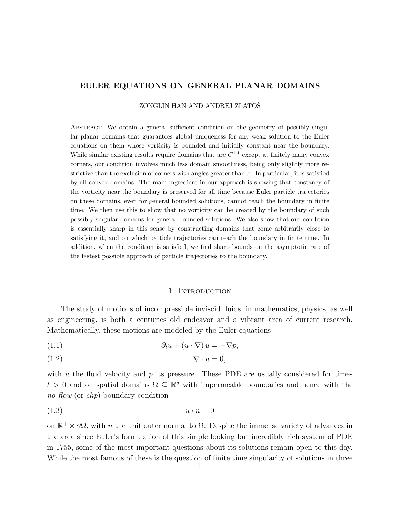# EULER EQUATIONS ON GENERAL PLANAR DOMAINS

ZONGLIN HAN AND ANDREJ ZLATOŠ

Abstract. We obtain a general sufficient condition on the geometry of possibly singular planar domains that guarantees global uniqueness for any weak solution to the Euler equations on them whose vorticity is bounded and initially constant near the boundary. While similar existing results require domains that are  $C^{1,1}$  except at finitely many convex corners, our condition involves much less domain smoothness, being only slightly more restrictive than the exclusion of corners with angles greater than  $\pi$ . In particular, it is satisfied by all convex domains. The main ingredient in our approach is showing that constancy of the vorticity near the boundary is preserved for all time because Euler particle trajectories on these domains, even for general bounded solutions, cannot reach the boundary in finite time. We then use this to show that no vorticity can be created by the boundary of such possibly singular domains for general bounded solutions. We also show that our condition is essentially sharp in this sense by constructing domains that come arbitrarily close to satisfying it, and on which particle trajectories can reach the boundary in finite time. In addition, when the condition is satisfied, we find sharp bounds on the asymptotic rate of the fastest possible approach of particle trajectories to the boundary.

#### <span id="page-0-1"></span>1. INTRODUCTION

The study of motions of incompressible inviscid fluids, in mathematics, physics, as well as engineering, is both a centuries old endeavor and a vibrant area of current research. Mathematically, these motions are modeled by the Euler equations

<span id="page-0-0"></span>(1.1) 
$$
\partial_t u + (u \cdot \nabla) u = -\nabla p,
$$

$$
\nabla \cdot u = 0,
$$

with  $u$  the fluid velocity and  $p$  its pressure. These PDE are usually considered for times  $t > 0$  and on spatial domains  $\Omega \subseteq \mathbb{R}^d$  with impermeable boundaries and hence with the no-flow (or slip) boundary condition

$$
(1.3) \t\t u \cdot n = 0
$$

on  $\mathbb{R}^+ \times \partial\Omega$ , with *n* the unit outer normal to  $\Omega$ . Despite the immense variety of advances in the area since Euler's formulation of this simple looking but incredibly rich system of PDE in 1755, some of the most important questions about its solutions remain open to this day. While the most famous of these is the question of finite time singularity of solutions in three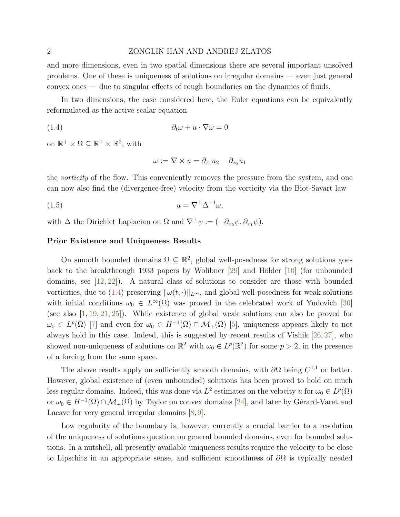#### <span id="page-1-2"></span>2 ZONGLIN HAN AND ANDREJ ZLATOŠ

and more dimensions, even in two spatial dimensions there are several important unsolved problems. One of these is uniqueness of solutions on irregular domains — even just general convex ones — due to singular effects of rough boundaries on the dynamics of fluids.

In two dimensions, the case considered here, the Euler equations can be equivalently reformulated as the active scalar equation

$$
(1.4) \qquad \qquad \partial_t \omega + u \cdot \nabla \omega = 0
$$

on  $\mathbb{R}^+ \times \Omega \subseteq \mathbb{R}^+ \times \mathbb{R}^2$ , with

<span id="page-1-1"></span><span id="page-1-0"></span>
$$
\omega := \nabla \times u = \partial_{x_1} u_2 - \partial_{x_2} u_1
$$

the *vorticity* of the flow. This conveniently removes the pressure from the system, and one can now also find the (divergence-free) velocity from the vorticity via the Biot-Savart law

$$
(1.5) \t\t u = \nabla^{\perp} \Delta^{-1} \omega,
$$

with  $\Delta$  the Dirichlet Laplacian on  $\Omega$  and  $\nabla^{\perp}\psi := (-\partial_{x_2}\psi, \partial_{x_1}\psi)$ .

## Prior Existence and Uniqueness Results

On smooth bounded domains  $\Omega \subseteq \mathbb{R}^2$ , global well-posedness for strong solutions goes back to the breakthrough 1933 papers by Wolibner [\[29\]](#page-29-0) and Hölder [\[10\]](#page-29-1) (for unbounded domains, see [\[12,](#page-29-2) [22\]](#page-29-3)). A natural class of solutions to consider are those with bounded vorticities, due to [\(1.4\)](#page-1-0) preserving  $\|\omega(t, \cdot)\|_{L^{\infty}}$ , and global well-posedness for weak solutions with initial conditions  $\omega_0 \in L^{\infty}(\Omega)$  was proved in the celebrated work of Yudovich [\[30\]](#page-30-0) (see also [\[1,](#page-28-0) [19,](#page-29-4) [21,](#page-29-5) [25\]](#page-29-6)). While existence of global weak solutions can also be proved for  $\omega_0 \in L^p(\Omega)$  [\[7\]](#page-28-1) and even for  $\omega_0 \in H^{-1}(\Omega) \cap \mathcal{M}_+(\Omega)$  [\[5\]](#page-28-2), uniqueness appears likely to not always hold in this case. Indeed, this is suggested by recent results of Vishik [\[26,](#page-29-7) [27\]](#page-29-8), who showed non-uniqueness of solutions on  $\mathbb{R}^2$  with  $\omega_0 \in L^p(\mathbb{R}^2)$  for some  $p > 2$ , in the presence of a forcing from the same space.

The above results apply on sufficiently smooth domains, with  $\partial\Omega$  being  $C^{1,1}$  or better. However, global existence of (even unbounded) solutions has been proved to hold on much less regular domains. Indeed, this was done via  $L^2$  estimates on the velocity u for  $\omega_0 \in L^p(\Omega)$ or  $\omega_0 \in H^{-1}(\Omega) \cap \mathcal{M}_+(\Omega)$  by Taylor on convex domains [\[24\]](#page-29-9), and later by Gérard-Varet and Lacave for very general irregular domains  $[8, 9]$  $[8, 9]$  $[8, 9]$ .

Low regularity of the boundary is, however, currently a crucial barrier to a resolution of the uniqueness of solutions question on general bounded domains, even for bounded solutions. In a nutshell, all presently available uniqueness results require the velocity to be close to Lipschitz in an appropriate sense, and sufficient smoothness of  $\partial\Omega$  is typically needed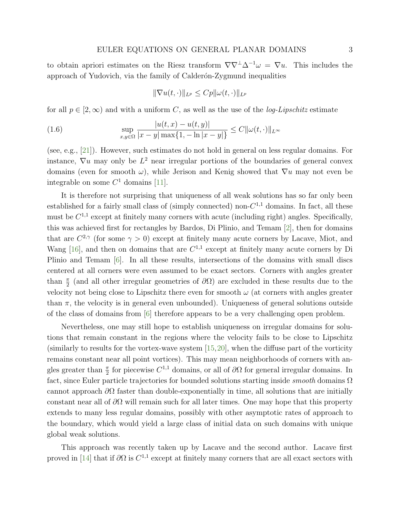<span id="page-2-1"></span>to obtain apriori estimates on the Riesz transform  $\nabla \nabla^{\perp} \Delta^{-1} \omega = \nabla u$ . This includes the approach of Yudovich, via the family of Calderón-Zygmund inequalities

<span id="page-2-0"></span>
$$
\|\nabla u(t,\cdot)\|_{L^p} \leq Cp \|\omega(t,\cdot)\|_{L^p}
$$

for all  $p \in [2,\infty)$  and with a uniform C, as well as the use of the *log-Lipschitz* estimate

(1.6) 
$$
\sup_{x,y \in \Omega} \frac{|u(t,x) - u(t,y)|}{|x - y| \max\{1, -\ln|x - y|\}} \le C ||\omega(t, \cdot)||_{L^{\infty}}
$$

(see, e.g., [\[21\]](#page-29-5)). However, such estimates do not hold in general on less regular domains. For instance,  $\nabla u$  may only be  $L^2$  near irregular portions of the boundaries of general convex domains (even for smooth  $\omega$ ), while Jerison and Kenig showed that  $\nabla u$  may not even be integrable on some  $C<sup>1</sup>$  domains [\[11\]](#page-29-10).

It is therefore not surprising that uniqueness of all weak solutions has so far only been established for a fairly small class of (simply connected) non- $C^{1,1}$  domains. In fact, all these must be  $C^{1,1}$  except at finitely many corners with acute (including right) angles. Specifically, this was achieved first for rectangles by Bardos, Di Plinio, and Temam [\[2\]](#page-28-5), then for domains that are  $C^{2,\gamma}$  (for some  $\gamma > 0$ ) except at finitely many acute corners by Lacave, Miot, and Wang [\[16\]](#page-29-11), and then on domains that are  $C^{1,1}$  except at finitely many acute corners by Di Plinio and Temam [\[6\]](#page-28-6). In all these results, intersections of the domains with small discs centered at all corners were even assumed to be exact sectors. Corners with angles greater than  $\frac{\pi}{2}$  (and all other irregular geometries of  $\partial\Omega$ ) are excluded in these results due to the velocity not being close to Lipschitz there even for smooth  $\omega$  (at corners with angles greater than  $\pi$ , the velocity is in general even unbounded). Uniqueness of general solutions outside of the class of domains from [\[6\]](#page-28-6) therefore appears to be a very challenging open problem.

Nevertheless, one may still hope to establish uniqueness on irregular domains for solutions that remain constant in the regions where the velocity fails to be close to Lipschitz (similarly to results for the vortex-wave system [\[15,](#page-29-12)[20\]](#page-29-13), when the diffuse part of the vorticity remains constant near all point vortices). This may mean neighborhoods of corners with angles greater than  $\frac{\pi}{2}$  for piecewise  $C^{1,1}$  domains, or all of  $\partial\Omega$  for general irregular domains. In fact, since Euler particle trajectories for bounded solutions starting inside *smooth* domains  $\Omega$ cannot approach  $\partial\Omega$  faster than double-exponentially in time, all solutions that are initially constant near all of  $\partial\Omega$  will remain such for all later times. One may hope that this property extends to many less regular domains, possibly with other asymptotic rates of approach to the boundary, which would yield a large class of initial data on such domains with unique global weak solutions.

This approach was recently taken up by Lacave and the second author. Lacave first proved in [\[14\]](#page-29-14) that if  $\partial\Omega$  is  $C^{1,1}$  except at finitely many corners that are all exact sectors with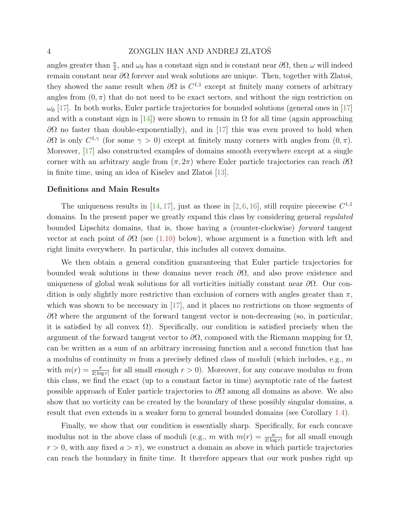# <span id="page-3-0"></span>4 ZONGLIN HAN AND ANDREJ ZLATOŠ

angles greater than  $\frac{\pi}{2}$ , and  $\omega_0$  has a constant sign and is constant near  $\partial\Omega$ , then  $\omega$  will indeed remain constant near  $\partial\Omega$  forever and weak solutions are unique. Then, together with Zlatoš, they showed the same result when  $\partial\Omega$  is  $C^{1,1}$  except at finitely many corners of arbitrary angles from  $(0, \pi)$  that do not need to be exact sectors, and without the sign restriction on  $\omega_0$  [\[17\]](#page-29-15). In both works, Euler particle trajectories for bounded solutions (general ones in [17] and with a constant sign in [\[14\]](#page-29-14)) were shown to remain in  $\Omega$  for all time (again approaching  $\partial\Omega$  no faster than double-exponentially), and in [\[17\]](#page-29-15) this was even proved to hold when  $∂Ω$  is only  $C^{1,γ}$  (for some  $γ > 0$ ) except at finitely many corners with angles from  $(0, π)$ . Moreover, [\[17\]](#page-29-15) also constructed examples of domains smooth everywhere except at a single corner with an arbitrary angle from  $(\pi, 2\pi)$  where Euler particle trajectories can reach  $\partial\Omega$ in finite time, using an idea of Kiselev and Zlatoš  $[13]$ .

#### Definitions and Main Results

The uniqueness results in [\[14,](#page-29-14) [17\]](#page-29-15), just as those in [\[2,](#page-28-5) [6,](#page-28-6) [16\]](#page-29-11), still require piecewise  $C^{1,1}$ domains. In the present paper we greatly expand this class by considering general regulated bounded Lipschitz domains, that is, those having a (counter-clockwise) forward tangent vector at each point of  $\partial\Omega$  (see [\(1.10\)](#page-5-0) below), whose argument is a function with left and right limits everywhere. In particular, this includes all convex domains.

We then obtain a general condition guaranteeing that Euler particle trajectories for bounded weak solutions in these domains never reach  $\partial\Omega$ , and also prove existence and uniqueness of global weak solutions for all vorticities initially constant near  $\partial\Omega$ . Our condition is only slightly more restrictive than exclusion of corners with angles greater than  $\pi$ , which was shown to be necessary in [\[17\]](#page-29-15), and it places no restrictions on those segments of  $\partial\Omega$  where the argument of the forward tangent vector is non-decreasing (so, in particular, it is satisfied by all convex  $\Omega$ ). Specifically, our condition is satisfied precisely when the argument of the forward tangent vector to  $\partial\Omega$ , composed with the Riemann mapping for  $\Omega$ , can be written as a sum of an arbitrary increasing function and a second function that has a modulus of continuity m from a precisely defined class of moduli (which includes, e.g.,  $m$ with  $m(r) = \frac{\pi}{2|\log r|}$  for all small enough  $r > 0$ ). Moreover, for any concave modulus m from this class, we find the exact (up to a constant factor in time) asymptotic rate of the fastest possible approach of Euler particle trajectories to  $\partial\Omega$  among all domains as above. We also show that no vorticity can be created by the boundary of these possibly singular domains, a result that even extends in a weaker form to general bounded domains (see Corollary [1.4\)](#page-8-0).

Finally, we show that our condition is essentially sharp. Specifically, for each concave modulus not in the above class of moduli (e.g., m with  $m(r) = \frac{a}{2|\log r|}$  for all small enough  $r > 0$ , with any fixed  $a > \pi$ ), we construct a domain as above in which particle trajectories can reach the boundary in finite time. It therefore appears that our work pushes right up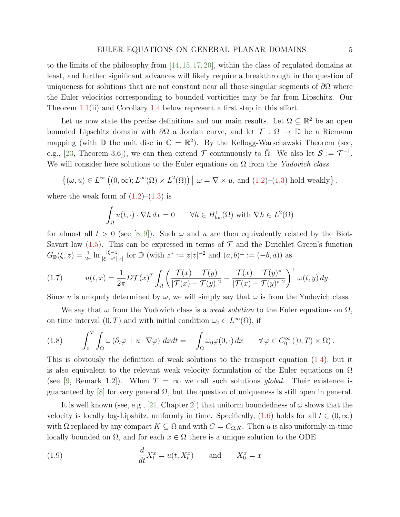<span id="page-4-3"></span>to the limits of the philosophy from [\[14,](#page-29-14) [15,](#page-29-12) [17,](#page-29-15) [20\]](#page-29-13), within the class of regulated domains at least, and further significant advances will likely require a breakthrough in the question of uniqueness for solutions that are not constant near all those singular segments of  $\partial\Omega$  where the Euler velocities corresponding to bounded vorticities may be far from Lipschitz. Our Theorem [1.1\(](#page-6-0)ii) and Corollary [1.4](#page-8-0) below represent a first step in this effort.

Let us now state the precise definitions and our main results. Let  $\Omega \subseteq \mathbb{R}^2$  be an open bounded Lipschitz domain with  $\partial\Omega$  a Jordan curve, and let  $\mathcal{T}: \Omega \to \mathbb{D}$  be a Riemann mapping (with  $\mathbb D$  the unit disc in  $\mathbb C = \mathbb R^2$ ). By the Kellogg-Warschawski Theorem (see, e.g., [\[23,](#page-29-17) Theorem 3.6]), we can then extend  $\mathcal T$  continuously to  $\overline{\Omega}$ . We also let  $\mathcal S := \mathcal T^{-1}$ . We will consider here solutions to the Euler equations on  $\Omega$  from the Yudovich class

$$
\left\{ (\omega, u) \in L^{\infty} \left( (0, \infty) ; L^{\infty}(\Omega) \times L^{2}(\Omega) \right) \mid \omega = \nabla \times u, \text{ and } (1.2) - (1.3) \text{ hold weakly} \right\},\
$$

where the weak form of  $(1.2)$ – $(1.3)$  is

$$
\int_{\Omega} u(t, \cdot) \cdot \nabla h \, dx = 0 \qquad \forall h \in H_{\text{loc}}^1(\Omega) \text{ with } \nabla h \in L^2(\Omega)
$$

for almost all  $t > 0$  (see [\[8,](#page-28-3)[9\]](#page-28-4)). Such  $\omega$  and  $u$  are then equivalently related by the Biot-Savart law  $(1.5)$ . This can be expressed in terms of  $\mathcal T$  and the Dirichlet Green's function  $G_{\mathbb{D}}(\xi, z) = \frac{1}{2\pi} \ln \frac{|\xi - z|}{|\xi - z^*| |z|}$  for  $\mathbb{D}$  (with  $z^* := z |z|^{-2}$  and  $(a, b)^{\perp} := (-b, a)$ ) as

<span id="page-4-1"></span>(1.7) 
$$
u(t,x) = \frac{1}{2\pi} D \mathcal{T}(x)^T \int_{\Omega} \left( \frac{\mathcal{T}(x) - \mathcal{T}(y)}{|\mathcal{T}(x) - \mathcal{T}(y)|^2} - \frac{\mathcal{T}(x) - \mathcal{T}(y)^*}{|\mathcal{T}(x) - \mathcal{T}(y)|^2} \right)^{\perp} \omega(t,y) \, dy.
$$

Since u is uniquely determined by  $\omega$ , we will simply say that  $\omega$  is from the Yudovich class.

We say that  $\omega$  from the Yudovich class is a *weak solution* to the Euler equations on  $\Omega$ , on time interval  $(0, T)$  and with initial condition  $\omega_0 \in L^{\infty}(\Omega)$ , if

<span id="page-4-2"></span>(1.8) 
$$
\int_0^T \int_{\Omega} \omega \left( \partial_t \varphi + u \cdot \nabla \varphi \right) dx dt = - \int_{\Omega} \omega_0 \varphi(0, \cdot) dx \qquad \forall \varphi \in C_0^{\infty} ([0, T) \times \Omega).
$$

This is obviously the definition of weak solutions to the transport equation  $(1.4)$ , but it is also equivalent to the relevant weak velocity formulation of the Euler equations on  $\Omega$ (see [\[9,](#page-28-4) Remark 1.2]). When  $T = \infty$  we call such solutions *global*. Their existence is guaranteed by [\[8\]](#page-28-3) for very general  $\Omega$ , but the question of uniqueness is still open in general.

It is well known (see, e.g., [\[21,](#page-29-5) Chapter 2]) that uniform boundedness of  $\omega$  shows that the velocity is locally log-Lipshitz, uniformly in time. Specifically,  $(1.6)$  holds for all  $t \in (0,\infty)$ with  $\Omega$  replaced by any compact  $K \subseteq \Omega$  and with  $C = C_{\Omega,K}$ . Then u is also uniformly-in-time locally bounded on  $\Omega$ , and for each  $x \in \Omega$  there is a unique solution to the ODE

<span id="page-4-0"></span>(1.9) 
$$
\frac{d}{dt}X_t^x = u(t, X_t^x) \quad \text{and} \quad X_0^x = x
$$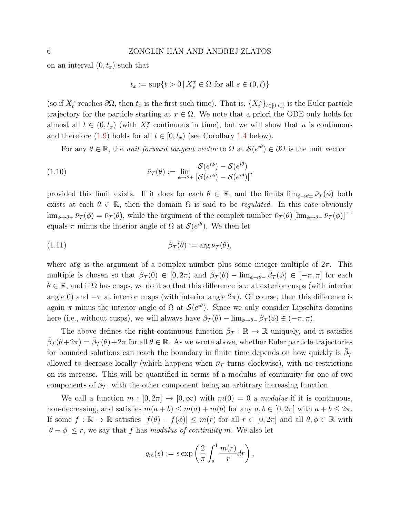on an interval  $(0, t_x)$  such that

<span id="page-5-0"></span>
$$
t_x := \sup\{t > 0 \,|\, X_s^x \in \Omega \text{ for all } s \in (0, t)\}
$$

(so if  $X_t^x$  reaches  $\partial\Omega$ , then  $t_x$  is the first such time). That is,  $\{X_t^x\}_{t\in[0,t_x)}$  is the Euler particle trajectory for the particle starting at  $x \in \Omega$ . We note that a priori the ODE only holds for almost all  $t \in (0, t_x)$  (with  $X_t^x$  continuous in time), but we will show that u is continuous and therefore [\(1.9\)](#page-4-0) holds for all  $t \in [0, t_x)$  (see Corollary [1.4](#page-8-0) below).

For any  $\theta \in \mathbb{R}$ , the *unit forward tangent vector* to  $\Omega$  at  $\mathcal{S}(e^{i\theta}) \in \partial \Omega$  is the unit vector

(1.10) 
$$
\bar{\nu}_{\mathcal{T}}(\theta) := \lim_{\phi \to \theta+} \frac{\mathcal{S}(e^{i\phi}) - \mathcal{S}(e^{i\theta})}{|\mathcal{S}(e^{i\phi}) - \mathcal{S}(e^{i\theta})|},
$$

provided this limit exists. If it does for each  $\theta \in \mathbb{R}$ , and the limits  $\lim_{\phi \to \theta^{\pm}} \bar{\nu}_{\mathcal{T}}(\phi)$  both exists at each  $\theta \in \mathbb{R}$ , then the domain  $\Omega$  is said to be *regulated*. In this case obviously  $\lim_{\phi\to\theta+} \bar{\nu}_{\mathcal{T}}(\phi) = \bar{\nu}_{\mathcal{T}}(\theta)$ , while the argument of the complex number  $\bar{\nu}_{\mathcal{T}}(\theta)$   $\lim_{\phi\to\theta-} \bar{\nu}_{\mathcal{T}}(\phi)\right]^{-1}$ equals  $\pi$  minus the interior angle of  $\Omega$  at  $\mathcal{S}(e^{i\theta})$ . We then let

<span id="page-5-1"></span>(1.11) 
$$
\bar{\beta}_{\mathcal{T}}(\theta) := \mathbf{a}\bar{\mathbf{r}}\mathbf{g}\,\bar{\nu}_{\mathcal{T}}(\theta),
$$

where arg is the argument of a complex number plus some integer multiple of  $2\pi$ . This multiple is chosen so that  $\bar{\beta}_{\mathcal{T}}(0) \in [0, 2\pi)$  and  $\bar{\beta}_{\mathcal{T}}(\theta) - \lim_{\phi \to \theta^-} \bar{\beta}_{\mathcal{T}}(\phi) \in [-\pi, \pi]$  for each  $\theta \in \mathbb{R}$ , and if  $\Omega$  has cusps, we do it so that this difference is  $\pi$  at exterior cusps (with interior angle 0) and  $-\pi$  at interior cusps (with interior angle  $2\pi$ ). Of course, then this difference is again  $\pi$  minus the interior angle of  $\Omega$  at  $\mathcal{S}(e^{i\theta})$ . Since we only consider Lipschitz domains here (i.e., without cusps), we will always have  $\bar{\beta}_{\mathcal{T}}(\theta) - \lim_{\phi \to \theta^-} \bar{\beta}_{\mathcal{T}}(\phi) \in (-\pi, \pi)$ .

The above defines the right-continuous function  $\bar{\beta}_{\mathcal{T}} : \mathbb{R} \to \mathbb{R}$  uniquely, and it satisfies  $\bar{\beta}_{\mathcal{T}}(\theta+2\pi) = \bar{\beta}_{\mathcal{T}}(\theta)+2\pi$  for all  $\theta \in \mathbb{R}$ . As we wrote above, whether Euler particle trajectories for bounded solutions can reach the boundary in finite time depends on how quickly is  $\bar{\beta}_{7}$ allowed to decrease locally (which happens when  $\bar{\nu}_{\tau}$  turns clockwise), with no restrictions on its increase. This will be quantified in terms of a modulus of continuity for one of two components of  $\bar{\beta}_{\mathcal{T}}$ , with the other component being an arbitrary increasing function.

We call a function  $m : [0, 2\pi] \to [0, \infty)$  with  $m(0) = 0$  a modulus if it is continuous, non-decreasing, and satisfies  $m(a + b) \leq m(a) + m(b)$  for any  $a, b \in [0, 2\pi]$  with  $a + b \leq 2\pi$ . If some  $f : \mathbb{R} \to \mathbb{R}$  satisfies  $|f(\theta) - f(\phi)| \leq m(r)$  for all  $r \in [0, 2\pi]$  and all  $\theta, \phi \in \mathbb{R}$  with  $|\theta - \phi| \le r$ , we say that f has modulus of continuity m. We also let

$$
q_m(s) := s \exp\left(\frac{2}{\pi} \int_s^1 \frac{m(r)}{r} dr\right),\,
$$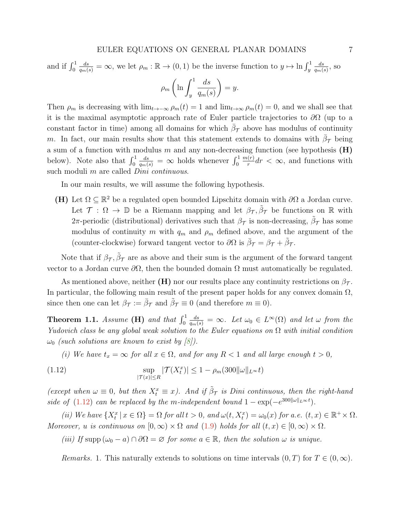<span id="page-6-2"></span>and if  $\int_0^1$  $\frac{ds}{q_m(s)} = \infty$ , we let  $\rho_m : \mathbb{R} \to (0, 1)$  be the inverse function to  $y \mapsto \ln \int_y^1$  $_{ds}$  $\frac{ds}{q_m(s)}$ , so

$$
\rho_m \left( \ln \int_y^1 \frac{ds}{q_m(s)} \right) = y.
$$

Then  $\rho_m$  is decreasing with  $\lim_{t\to-\infty} \rho_m(t) = 1$  and  $\lim_{t\to\infty} \rho_m(t) = 0$ , and we shall see that it is the maximal asymptotic approach rate of Euler particle trajectories to  $\partial\Omega$  (up to a constant factor in time) among all domains for which  $\bar{\beta}_{\mathcal{T}}$  above has modulus of continuity m. In fact, our main results show that this statement extends to domains with  $\bar{\beta}_{\mathcal{T}}$  being a sum of a function with modulus  $m$  and any non-decreasing function (see hypothesis  $(H)$ ) below). Note also that  $\int_0^1$  $\frac{ds}{q_m(s)} = \infty$  holds whenever  $\int_0^1$  $m(r)$  $\frac{r(r)}{r}dr < \infty$ , and functions with such moduli  $m$  are called *Dini continuous*.

In our main results, we will assume the following hypothesis.

(H) Let  $\Omega \subseteq \mathbb{R}^2$  be a regulated open bounded Lipschitz domain with  $\partial\Omega$  a Jordan curve. Let  $\mathcal{T}: \Omega \to \mathbb{D}$  be a Riemann mapping and let  $\beta_{\mathcal{T}}, \tilde{\beta}_{\mathcal{T}}$  be functions on R with  $2\pi$ -periodic (distributional) derivatives such that  $\beta_{\mathcal{T}}$  is non-decreasing,  $\tilde{\beta}_{\mathcal{T}}$  has some modulus of continuity m with  $q_m$  and  $\rho_m$  defined above, and the argument of the (counter-clockwise) forward tangent vector to  $\partial\Omega$  is  $\bar{\beta}_{\mathcal{T}} = \beta_{\mathcal{T}} + \tilde{\beta}_{\mathcal{T}}$ .

Note that if  $\beta_{\mathcal{T}}, \tilde{\beta}_{\mathcal{T}}$  are as above and their sum is the argument of the forward tangent vector to a Jordan curve  $\partial\Omega$ , then the bounded domain  $\Omega$  must automatically be regulated.

As mentioned above, neither (H) nor our results place any continuity restrictions on  $\beta_{\mathcal{T}}$ . In particular, the following main result of the present paper holds for any convex domain  $\Omega$ , since then one can let  $\beta_{\mathcal{T}} := \bar{\beta}_{\mathcal{T}}$  and  $\tilde{\beta}_{\mathcal{T}} \equiv 0$  (and therefore  $m \equiv 0$ ).

<span id="page-6-0"></span>Theorem 1.1. Assume (H) and that  $\int_0^1$  $\frac{ds}{q_m(s)} = \infty$ . Let  $\omega_0 \in L^{\infty}(\Omega)$  and let  $\omega$  from the Yudovich class be any global weak solution to the Euler equations on  $\Omega$  with initial condition  $\omega_0$  (such solutions are known to exist by [\[8\]](#page-28-3)).

<span id="page-6-1"></span>(i) We have  $t_x = \infty$  for all  $x \in \Omega$ , and for any  $R < 1$  and all large enough  $t > 0$ ,

(1.12) 
$$
\sup_{|\mathcal{T}(x)| \le R} |\mathcal{T}(X_t^x)| \le 1 - \rho_m(300 \|\omega\|_{L^\infty} t)
$$

(except when  $\omega \equiv 0$ , but then  $X_t^x \equiv x$ ). And if  $\tilde{\beta}_{\tau}$  is Dini continuous, then the right-hand side of [\(1.12\)](#page-6-1) can be replaced by the m-independent bound  $1 - \exp(-e^{300||\omega||_{L^{\infty}}t}).$ 

(ii) We have  $\{X_t^x \mid x \in \Omega\} = \Omega$  for all  $t > 0$ , and  $\omega(t, X_t^x) = \omega_0(x)$  for a.e.  $(t, x) \in \mathbb{R}^+ \times \Omega$ . Moreover, u is continuous on  $[0, \infty) \times \Omega$  and  $(1.9)$  holds for all  $(t, x) \in [0, \infty) \times \Omega$ .

(iii) If supp  $(\omega_0 - a) \cap \partial \Omega = \varnothing$  for some  $a \in \mathbb{R}$ , then the solution  $\omega$  is unique.

Remarks. 1. This naturally extends to solutions on time intervals  $(0, T)$  for  $T \in (0, \infty)$ .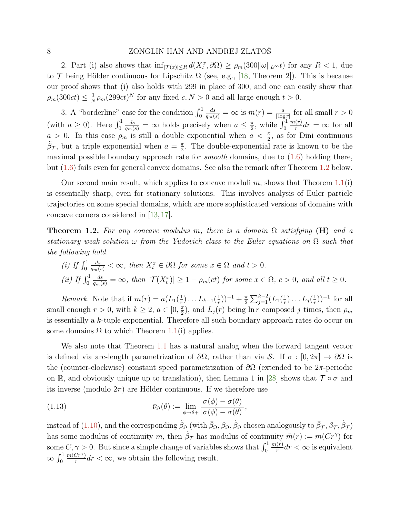### <span id="page-7-2"></span>8 ZONGLIN HAN AND ANDREJ ZLATOS

2. Part (i) also shows that  $\inf_{|\mathcal{T}(x)| \leq R} d(X_t^x, \partial \Omega) \geq \rho_m(300 ||\omega||_{L^{\infty}} t)$  for any  $R < 1$ , due to  $\mathcal T$  being Hölder continuous for Lipschitz  $\Omega$  (see, e.g., [\[18,](#page-29-18) Theorem 2]). This is because our proof shows that (i) also holds with 299 in place of 300, and one can easily show that  $\rho_m(300ct) \leq \frac{1}{N}$  $\frac{1}{N}\rho_m(299ct)^N$  for any fixed  $c, N > 0$  and all large enough  $t > 0$ .

3. A "borderline" case for the condition  $\int_0^1$  $\frac{ds}{q_m(s)} = \infty$  is  $m(r) = \frac{a}{|\log r|}$  for all small  $r > 0$ (with  $a \geq 0$ ). Here  $\int_0^1$  $\frac{ds}{q_m(s)} = \infty$  holds precisely when  $a \leq \frac{\pi}{2}$  $\frac{\pi}{2}$ , while  $\int_0^1$  $m(r)$  $\frac{r(r)}{r}$ dr =  $\infty$  for all  $a > 0$ . In this case  $\rho_m$  is still a double exponential when  $a < \frac{\pi}{2}$ , as for Dini continuous  $\tilde{\beta}_{\mathcal{T}}$ , but a triple exponential when  $a = \frac{\pi}{2}$  $\frac{\pi}{2}$ . The double-exponential rate is known to be the maximal possible boundary approach rate for *smooth* domains, due to  $(1.6)$  holding there, but [\(1.6\)](#page-2-0) fails even for general convex domains. See also the remark after Theorem [1.2](#page-7-0) below.

Our second main result, which applies to concave moduli  $m$ , shows that Theorem [1.1\(](#page-6-0)i) is essentially sharp, even for stationary solutions. This involves analysis of Euler particle trajectories on some special domains, which are more sophisticated versions of domains with concave corners considered in [\[13,](#page-29-16) [17\]](#page-29-15).

<span id="page-7-0"></span>**Theorem 1.2.** For any concave modulus m, there is a domain  $\Omega$  satisfying (H) and a stationary weak solution  $\omega$  from the Yudovich class to the Euler equations on  $\Omega$  such that the following hold.

(i) If 
$$
\int_0^1 \frac{ds}{q_m(s)} < \infty
$$
, then  $X_t^x \in \partial \Omega$  for some  $x \in \Omega$  and  $t > 0$ .  
\n(ii) If  $\int_0^1 \frac{ds}{q_m(s)} = \infty$ , then  $|\mathcal{T}(X_t^x)| \ge 1 - \rho_m(ct)$  for some  $x \in \Omega$ ,  $c > 0$ , and all  $t \ge 0$ .

*Remark.* Note that if  $m(r) = a(L_1(\frac{1}{r}))$  $(\frac{1}{r}) \ldots L_{k-1}(\frac{1}{r})$  $(\frac{1}{r})$ )<sup>-1</sup> +  $\frac{\pi}{2}$  $\frac{\pi}{2} \sum_{j=1}^{k-2} (L_1(\frac{1}{r}))$  $(\frac{1}{r})\ldots L_j(\frac{1}{r})$  $(\frac{1}{r})$ )<sup>-1</sup> for all small enough  $r > 0$ , with  $k \geq 2$ ,  $a \in [0, \frac{\pi}{2}]$  $\frac{\pi}{2}$ , and  $L_j(r)$  being ln *r* composed *j* times, then  $\rho_m$ is essentially a  $k$ -tuple exponential. Therefore all such boundary approach rates do occur on some domains  $\Omega$  to which Theorem [1.1\(](#page-6-0)i) applies.

We also note that Theorem [1.1](#page-6-0) has a natural analog when the forward tangent vector is defined via arc-length parametrization of  $\partial\Omega$ , rather than via S. If  $\sigma : [0, 2\pi] \to \partial\Omega$  is the (counter-clockwise) constant speed parametrization of  $\partial\Omega$  (extended to be 2 $\pi$ -periodic on R, and obviously unique up to translation), then Lemma 1 in [\[28\]](#page-29-19) shows that  $\mathcal{T} \circ \sigma$  and its inverse (modulo  $2\pi$ ) are Hölder continuous. If we therefore use

<span id="page-7-1"></span>(1.13) 
$$
\bar{\nu}_{\Omega}(\theta) := \lim_{\phi \to \theta+} \frac{\sigma(\phi) - \sigma(\theta)}{|\sigma(\phi) - \sigma(\theta)|},
$$

instead of [\(1.10\)](#page-5-0), and the corresponding  $\tilde{\beta}_\Omega$  (with  $\bar{\beta}_\Omega, \beta_\Omega, \tilde{\beta}_\Omega$  chosen analogously to  $\bar{\beta}_\mathcal{T}, \beta_\mathcal{T}, \tilde{\beta}_\mathcal{T})$ has some modulus of continuity m, then  $\tilde{\beta}_{\mathcal{T}}$  has modulus of continuity  $\tilde{m}(r) := m(Cr^{\gamma})$  for some  $C, \gamma > 0$ . But since a simple change of variables shows that  $\int_0^1$  $m(r)$  $\frac{r(r)}{r}$ dr <  $\infty$  is equivalent to  $\int_0^1$  $m(Cr^{\gamma})$  $\frac{C_r(r)}{r}$  dr <  $\infty$ , we obtain the following result.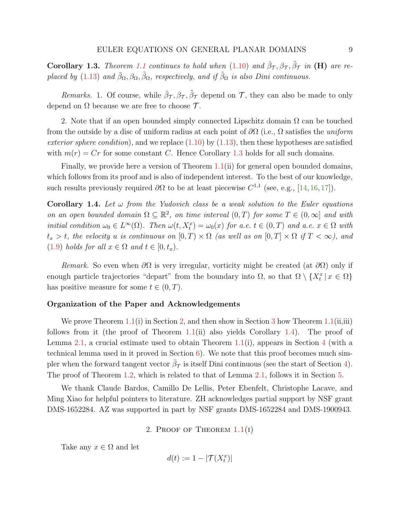<span id="page-8-3"></span><span id="page-8-1"></span>**Corollary 1.3.** Theorem [1.1](#page-6-0) continues to hold when  $(1.10)$  and  $\bar{\beta}_{\mathcal{T}}, \beta_{\mathcal{T}}, \tilde{\beta}_{\mathcal{T}}$  in  $(\mathbf{H})$  are re-placed by [\(1.13\)](#page-7-1) and  $\bar{\beta}_{\Omega}, \beta_{\Omega}, \tilde{\beta}_{\Omega}$ , respectively, and if  $\tilde{\beta}_{\Omega}$  is also Dini continuous.

Remarks. 1. Of course, while  $\bar{\beta}_{\mathcal{T}}, \beta_{\mathcal{T}}, \tilde{\beta}_{\mathcal{T}}$  depend on  $\mathcal{T}$ , they can also be made to only depend on  $\Omega$  because we are free to choose  $\mathcal{T}$ .

2. Note that if an open bounded simply connected Lipschitz domain  $\Omega$  can be touched from the outside by a disc of uniform radius at each point of  $\partial\Omega$  (i.e.,  $\Omega$  satisfies the *uniform* exterior sphere condition), and we replace  $(1.10)$  by  $(1.13)$ , then these hypotheses are satisfied with  $m(r) = Cr$  for some constant C. Hence Corollary [1.3](#page-8-1) holds for all such domains.

Finally, we provide here a version of Theorem [1.1\(](#page-6-0)ii) for general open bounded domains, which follows from its proof and is also of independent interest. To the best of our knowledge, such results previously required  $\partial\Omega$  to be at least piecewise  $C^{1,1}$  (see, e.g., [\[14,](#page-29-14) [16,](#page-29-11) [17\]](#page-29-15)).

<span id="page-8-0"></span>Corollary 1.4. Let  $\omega$  from the Yudovich class be a weak solution to the Euler equations on an open bounded domain  $\Omega \subseteq \mathbb{R}^2$ , on time interval  $(0,T)$  for some  $T \in (0,\infty]$  and with initial condition  $\omega_0 \in L^{\infty}(\Omega)$ . Then  $\omega(t, X_t^x) = \omega_0(x)$  for a.e.  $t \in (0, T)$  and a.e.  $x \in \Omega$  with  $t_x > t$ , the velocity u is continuous on  $[0, T] \times \Omega$  (as well as on  $[0, T] \times \Omega$  if  $T < \infty$ ), and [\(1.9\)](#page-4-0) holds for all  $x \in \Omega$  and  $t \in [0, t_x)$ .

Remark. So even when  $\partial\Omega$  is very irregular, vorticity might be created (at  $\partial\Omega$ ) only if enough particle trajectories "depart" from the boundary into  $\Omega$ , so that  $\Omega \setminus \{X_t^x \mid x \in \Omega\}$ has positive measure for some  $t \in (0, T)$ .

## Organization of the Paper and Acknowledgements

We prove Theorem [1.1\(](#page-6-0)i) in Section [2,](#page-8-2) and then show in Section [3](#page-10-0) how Theorem 1.1(ii,iii) follows from it (the proof of Theorem [1.1\(](#page-6-0)ii) also yields Corollary [1.4\)](#page-8-0). The proof of Lemma [2.1,](#page-9-0) a crucial estimate used to obtain Theorem [1.1\(](#page-6-0)i), appears in Section [4](#page-12-0) (with a technical lemma used in it proved in Section [6\)](#page-26-0). We note that this proof becomes much simpler when the forward tangent vector  $\bar{\beta}_{\mathcal{T}}$  is itself Dini continuous (see the start of Section [4\)](#page-12-0). The proof of Theorem [1.2,](#page-7-0) which is related to that of Lemma [2.1,](#page-9-0) follows it in Section [5.](#page-21-0)

We thank Claude Bardos, Camillo De Lellis, Peter Ebenfelt, Christophe Lacave, and Ming Xiao for helpful pointers to literature. ZH acknowledges partial support by NSF grant DMS-1652284. AZ was supported in part by NSF grants DMS-1652284 and DMS-1900943.

2. PROOF OF THEOREM  $1.1(i)$  $1.1(i)$ 

<span id="page-8-2"></span>Take any  $x \in \Omega$  and let

$$
d(t) := 1 - |\mathcal{T}(X_t^x)|
$$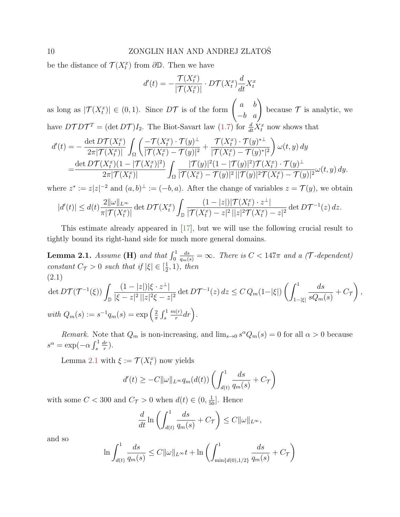<span id="page-9-2"></span>be the distance of  $\mathcal{T}(X_t^x)$  from  $\partial \mathbb{D}$ . Then we have

$$
d'(t) = -\frac{\mathcal{T}(X_t^x)}{|\mathcal{T}(X_t^x)|} \cdot D\mathcal{T}(X_t^x) \frac{d}{dt} X_t^x
$$

as long as  $|\mathcal{T}(X_t^x)| \in (0,1)$ . Since  $D\mathcal{T}$  is of the form  $\begin{pmatrix} a & b \\ -b & a \end{pmatrix}$ because  $\mathcal T$  is analytic, we have  $DTDT^T = (\det DT)I_2$ . The Biot-Savart law [\(1.7\)](#page-4-1) for  $\frac{d}{dt}X_t^x$  now shows that

$$
d'(t) = -\frac{\det D\mathcal{T}(X_t^x)}{2\pi |\mathcal{T}(X_t^x)|} \int_{\Omega} \left( \frac{-\mathcal{T}(X_t^x) \cdot \mathcal{T}(y)^{\perp}}{|\mathcal{T}(X_t^x) - \mathcal{T}(y)|^2} + \frac{\mathcal{T}(X_t^x) \cdot \mathcal{T}(y)^{*\perp}}{|\mathcal{T}(X_t^x) - \mathcal{T}(y)^{*\perp}} \right) \omega(t, y) dy
$$
  
= 
$$
\frac{\det D\mathcal{T}(X_t^x)(1 - |\mathcal{T}(X_t^x)|^2)}{2\pi |\mathcal{T}(X_t^x)|} \int_{\Omega} \frac{|\mathcal{T}(y)|^2 (1 - |\mathcal{T}(y)|^2) \mathcal{T}(X_t^x) \cdot \mathcal{T}(y)^{\perp}}{|\mathcal{T}(X_t^x) - \mathcal{T}(y)|^2 |\mathcal{T}(X_t^x) - \mathcal{T}(y)|^2} \omega(t, y) dy.
$$

where  $z^* := z|z|^{-2}$  and  $(a, b)^{\perp} := (-b, a)$ . After the change of variables  $z = \mathcal{T}(y)$ , we obtain

$$
|d'(t)| \leq d(t) \frac{2\|\omega\|_{L^{\infty}}}{\pi |\mathcal{T}(X_t^x)|} \det D\mathcal{T}(X_t^x) \int_{\mathbb{D}} \frac{(1-|z|)|\mathcal{T}(X_t^x) \cdot z^{\perp}|}{|\mathcal{T}(X_t^x) - z|^2 \, ||z|^2 \mathcal{T}(X_t^x) - z|^2} \det D\mathcal{T}^{-1}(z) \, dz.
$$

This estimate already appeared in [\[17\]](#page-29-15), but we will use the following crucial result to tightly bound its right-hand side for much more general domains.

<span id="page-9-0"></span>**Lemma 2.1.** Assume (**H**) and that  $\int_0^1$  $\frac{ds}{q_m(s)} = \infty$ . There is  $C < 147\pi$  and a (T-dependent) constant  $C_{\mathcal{T}} > 0$  such that if  $|\xi| \in [\frac{1}{2}]$  $(\frac{1}{2}, 1)$ , then (2.1)

<span id="page-9-1"></span>
$$
\det D\mathcal{T}(\mathcal{T}^{-1}(\xi)) \int_{\mathbb{D}} \frac{(1-|z|)|\xi \cdot z^{\perp}|}{|\xi - z|^2 ||z|^2 \xi - z|^2} \det D\mathcal{T}^{-1}(z) dz \leq C Q_m (1-|\xi|) \left( \int_{1-|\xi|}^1 \frac{ds}{sQ_m(s)} + C_{\mathcal{T}} \right),
$$
  
\nwith  $Q_m(s) := s^{-1} q_m(s) = \exp \left( \frac{2}{\pi} \int_s^1 \frac{m(r)}{r} dr \right).$ 

Remark. Note that  $Q_m$  is non-increasing, and  $\lim_{s\to 0} s^{\alpha} Q_m(s) = 0$  for all  $\alpha > 0$  because  $s^{\alpha} = \exp(-\alpha \int_s^1$  $\frac{dr}{dt}$  $\frac{dr}{r}$ ).

Lemma [2.1](#page-9-0) with  $\xi := \mathcal{T}(X_t^x)$  now yields

$$
d'(t) \geq -C||\omega||_{L^{\infty}}q_m(d(t))\left(\int_{d(t)}^1 \frac{ds}{q_m(s)} + C\tau\right)
$$

with some  $C < 300$  and  $C_{\mathcal{T}} > 0$  when  $d(t) \in (0, \frac{1}{50}]$ . Hence

$$
\frac{d}{dt} \ln \left( \int_{d(t)}^1 \frac{ds}{q_m(s)} + C_{\mathcal{T}} \right) \le C ||\omega||_{L^{\infty}},
$$

and so

$$
\ln \int_{d(t)}^1 \frac{ds}{q_m(s)} \le C ||\omega||_{L^\infty} t + \ln \left( \int_{\min\{d(0), 1/2\}}^1 \frac{ds}{q_m(s)} + C_{\mathcal{T}} \right)
$$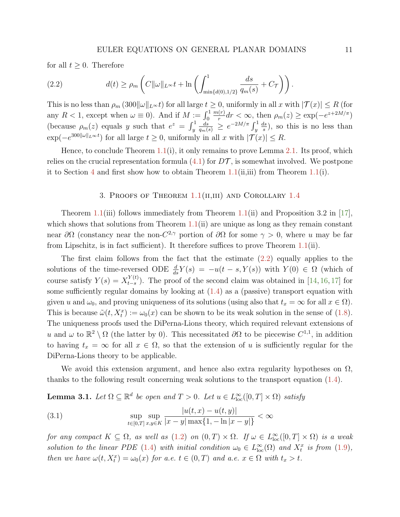<span id="page-10-4"></span>for all  $t \geq 0$ . Therefore

<span id="page-10-1"></span>(2.2) 
$$
d(t) \geq \rho_m \left( C \|\omega\|_{L^\infty} t + \ln \left( \int_{\min\{d(0), 1/2\}}^1 \frac{ds}{q_m(s)} + C_{\mathcal{T}} \right) \right).
$$

This is no less than  $\rho_m(300||\omega||_{L^\infty}t)$  for all large  $t \geq 0$ , uniformly in all  $x$  with  $|\mathcal{T}(x)| \leq R$  (for any  $R < 1$ , except when  $\omega \equiv 0$ ). And if  $M := \int_0^1$  $m(r)$  $\frac{f(r)}{r} dr < \infty$ , then  $\rho_m(z) \ge \exp(-e^{z+2M/\pi})$ (because  $\rho_m(z)$  equals y such that  $e^z = \int_y^1$  $\frac{ds}{q_m(s)} \, \geq \, e^{-2M/\pi} \int_y^1$  $_{ds}$  $\frac{ds}{s}$ , so this is no less than  $\exp(-e^{300\|\omega\|_{L^{\infty}}t})$  for all large  $t \geq 0$ , uniformly in all x with  $|\mathcal{T}(x)| \leq R$ .

Hence, to conclude Theorem  $1.1(i)$  $1.1(i)$ , it only remains to prove Lemma [2.1.](#page-9-0) Its proof, which relies on the crucial representation formula  $(4.1)$  for  $DT$ , is somewhat involved. We postpone it to Section [4](#page-12-0) and first show how to obtain Theorem [1.1\(](#page-6-0)ii,iii) from Theorem 1.1(i).

## 3. PROOFS OF THEOREM  $1.1$ (II,III) AND COROLLARY [1.4](#page-8-0)

<span id="page-10-0"></span>Theorem [1.1\(](#page-6-0)iii) follows immediately from Theorem 1.1(ii) and Proposition 3.2 in [\[17\]](#page-29-15), which shows that solutions from Theorem  $1.1(i)$  $1.1(i)$  are unique as long as they remain constant near  $\partial\Omega$  (constancy near the non- $C^{2,\gamma}$  portion of  $\partial\Omega$  for some  $\gamma > 0$ , where u may be far from Lipschitz, is in fact sufficient). It therefore suffices to prove Theorem [1.1\(](#page-6-0)ii).

The first claim follows from the fact that the estimate [\(2.2\)](#page-10-1) equally applies to the solutions of the time-reversed ODE  $\frac{d}{ds}Y(s) = -u(t - s, Y(s))$  with  $Y(0) \in \Omega$  (which of course satisfy  $Y(s) = X_{t-s}^{Y(t)}$  $_{t-s}^{T(t)}$ ). The proof of the second claim was obtained in [\[14,](#page-29-14) [16,](#page-29-11) [17\]](#page-29-15) for some sufficiently regular domains by looking at  $(1.4)$  as a (passive) transport equation with given u and  $\omega_0$ , and proving uniqueness of its solutions (using also that  $t_x = \infty$  for all  $x \in \Omega$ ). This is because  $\tilde{\omega}(t, X_t^x) := \omega_0(x)$  can be shown to be its weak solution in the sense of [\(1.8\)](#page-4-2). The uniqueness proofs used the DiPerna-Lions theory, which required relevant extensions of u and  $\omega$  to  $\mathbb{R}^2 \setminus \Omega$  (the latter by 0). This necessitated  $\partial\Omega$  to be piecewise  $C^{1,1}$ , in addition to having  $t_x = \infty$  for all  $x \in \Omega$ , so that the extension of u is sufficiently regular for the DiPerna-Lions theory to be applicable.

We avoid this extension argument, and hence also extra regularity hypotheses on  $\Omega$ , thanks to the following result concerning weak solutions to the transport equation [\(1.4\)](#page-1-0).

<span id="page-10-3"></span>**Lemma 3.1.** Let  $\Omega \subseteq \mathbb{R}^d$  be open and  $T > 0$ . Let  $u \in L^{\infty}_{loc}([0, T] \times \Omega)$  satisfy

<span id="page-10-2"></span>(3.1) 
$$
\sup_{t \in [0,T]} \sup_{x,y \in K} \frac{|u(t,x) - u(t,y)|}{|x - y| \max\{1, -\ln|x - y|\}} < \infty
$$

for any compact  $K \subseteq \Omega$ , as well as  $(1.2)$  on  $(0,T) \times \Omega$ . If  $\omega \in L^{\infty}_{loc}([0,T] \times \Omega)$  is a weak solution to the linear PDE [\(1.4\)](#page-1-0) with initial condition  $\omega_0 \in L^{\infty}_{loc}(\Omega)$  and  $X_t^x$  is from [\(1.9\)](#page-4-0), then we have  $\omega(t, X_t^x) = \omega_0(x)$  for a.e.  $t \in (0, T)$  and a.e.  $x \in \Omega$  with  $t_x > t$ .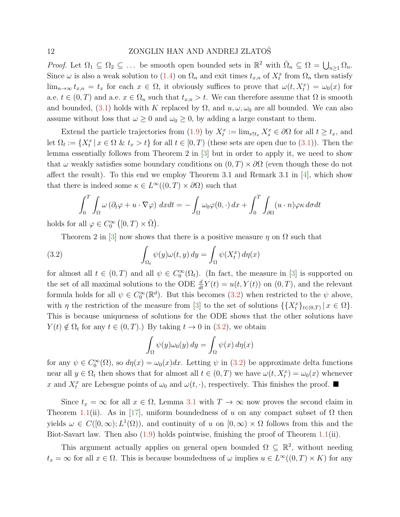<span id="page-11-1"></span>Proof. Let  $\Omega_1 \subseteq \Omega_2 \subseteq \ldots$  be smooth open bounded sets in  $\mathbb{R}^2$  with  $\overline{\Omega}_n \subseteq \Omega = \bigcup_{n \geq 1} \Omega_n$ . Since  $\omega$  is also a weak solution to [\(1.4\)](#page-1-0) on  $\Omega_n$  and exit times  $t_{x,n}$  of  $X_t^x$  from  $\Omega_n$  then satisfy  $\lim_{n\to\infty} t_{x,n} = t_x$  for each  $x \in \Omega$ , it obviously suffices to prove that  $\omega(t, X_t^x) = \omega_0(x)$  for a.e.  $t \in (0, T)$  and a.e.  $x \in \Omega_n$  such that  $t_{x,n} > t$ . We can therefore assume that  $\Omega$  is smooth and bounded, [\(3.1\)](#page-10-2) holds with K replaced by  $\Omega$ , and  $u, \omega, \omega_0$  are all bounded. We can also assume without loss that  $\omega \geq 0$  and  $\omega_0 \geq 0$ , by adding a large constant to them.

Extend the particle trajectories from [\(1.9\)](#page-4-0) by  $X_t^x := \lim_{s \uparrow t_x} X_s^x \in \partial \Omega$  for all  $t \ge t_x$ , and let  $\Omega_t := \{X_t^x \mid x \in \Omega \& t_x > t\}$  for all  $t \in [0, T)$  (these sets are open due to  $(3.1)$ ). Then the lemma essentially follows from Theorem 2 in [\[3\]](#page-28-7) but in order to apply it, we need to show that  $\omega$  weakly satisfies some boundary conditions on  $(0, T) \times \partial\Omega$  (even though these do not affect the result). To this end we employ Theorem 3.1 and Remark 3.1 in [\[4\]](#page-28-8), which show that there is indeed some  $\kappa \in L^{\infty}((0,T) \times \partial \Omega)$  such that

<span id="page-11-0"></span>
$$
\int_0^T \int_{\Omega} \omega \left( \partial_t \varphi + u \cdot \nabla \varphi \right) dx dt = - \int_{\Omega} \omega_0 \varphi(0, \cdot) dx + \int_0^T \int_{\partial \Omega} (u \cdot n) \varphi \kappa d\sigma dt
$$

holds for all  $\varphi \in C_0^{\infty} ([0, T) \times \overline{\Omega}).$ 

Theorem 2 in [\[3\]](#page-28-7) now shows that there is a positive measure  $\eta$  on  $\Omega$  such that

(3.2) 
$$
\int_{\Omega_t} \psi(y)\omega(t,y) dy = \int_{\Omega} \psi(X_t^x) d\eta(x)
$$

for almost all  $t \in (0,T)$  and all  $\psi \in C_0^{\infty}(\Omega_t)$ . (In fact, the measure in [\[3\]](#page-28-7) is supported on the set of all maximal solutions to the ODE  $\frac{d}{dt}Y(t) = u(t, Y(t))$  on  $(0, T)$ , and the relevant formula holds for all  $\psi \in C_0^{\infty}(\mathbb{R}^d)$ . But this becomes [\(3.2\)](#page-11-0) when restricted to the  $\psi$  above, with  $\eta$  the restriction of the measure from [\[3\]](#page-28-7) to the set of solutions  $\{\{X_t^x\}_{t\in(0,T)} | x \in \Omega\}.$ This is because uniqueness of solutions for the ODE shows that the other solutions have  $Y(t) \notin \Omega_t$  for any  $t \in (0, T)$ .) By taking  $t \to 0$  in [\(3.2\)](#page-11-0), we obtain

$$
\int_{\Omega} \psi(y)\omega_0(y) dy = \int_{\Omega} \psi(x) d\eta(x)
$$

for any  $\psi \in C_0^{\infty}(\Omega)$ , so  $d\eta(x) = \omega_0(x)dx$ . Letting  $\psi$  in [\(3.2\)](#page-11-0) be approximate delta functions near all  $y \in \Omega_t$  then shows that for almost all  $t \in (0, T)$  we have  $\omega(t, X_t^x) = \omega_0(x)$  whenever x and  $X_t^x$  are Lebesgue points of  $\omega_0$  and  $\omega(t, \cdot)$ , respectively. This finishes the proof.  $\blacksquare$ 

Since  $t_x = \infty$  for all  $x \in \Omega$ , Lemma [3.1](#page-10-3) with  $T \to \infty$  now proves the second claim in Theorem [1.1\(](#page-6-0)ii). As in [\[17\]](#page-29-15), uniform boundedness of u on any compact subset of  $\Omega$  then yields  $\omega \in C([0,\infty); L^1(\Omega))$ , and continuity of u on  $[0,\infty) \times \Omega$  follows from this and the Biot-Savart law. Then also [\(1.9\)](#page-4-0) holds pointwise, finishing the proof of Theorem [1.1\(](#page-6-0)ii).

This argument actually applies on general open bounded  $\Omega \subseteq \mathbb{R}^2$ , without needing  $t_x = \infty$  for all  $x \in \Omega$ . This is because boundedness of  $\omega$  implies  $u \in L^{\infty}((0,T) \times K)$  for any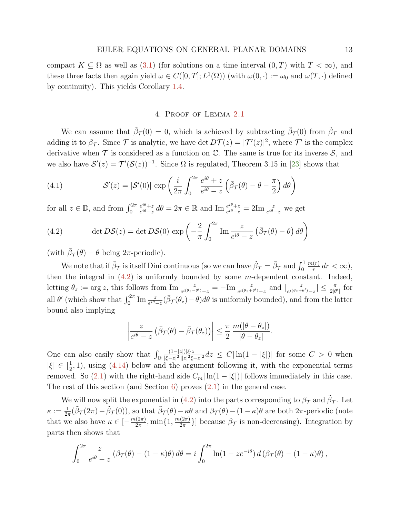<span id="page-12-3"></span>compact  $K \subseteq \Omega$  as well as [\(3.1\)](#page-10-2) (for solutions on a time interval  $(0, T)$  with  $T < \infty$ ), and these three facts then again yield  $\omega \in C([0,T]; L^1(\Omega))$  (with  $\omega(0, \cdot) := \omega_0$  and  $\omega(T, \cdot)$  defined by continuity). This yields Corollary [1.4.](#page-8-0)

## 4. Proof of Lemma [2.1](#page-9-0)

<span id="page-12-0"></span>We can assume that  $\tilde{\beta}_{\mathcal{T}}(0) = 0$ , which is achieved by subtracting  $\tilde{\beta}_{\mathcal{T}}(0)$  from  $\tilde{\beta}_{\mathcal{T}}$  and adding it to  $\beta_{\mathcal{T}}$ . Since  $\mathcal{T}$  is analytic, we have det  $D\mathcal{T}(z) = |\mathcal{T}'(z)|^2$ , where  $\mathcal{T}'$  is the complex derivative when  $\mathcal T$  is considered as a function on  $\mathbb C$ . The same is true for its inverse  $\mathcal S$ , and we also have  $\mathcal{S}'(z) = \mathcal{T}'(\mathcal{S}(z))^{-1}$ . Since  $\Omega$  is regulated, Theorem 3.15 in [\[23\]](#page-29-17) shows that

<span id="page-12-1"></span>(4.1) 
$$
\mathcal{S}'(z) = |\mathcal{S}'(0)| \exp\left(\frac{i}{2\pi} \int_0^{2\pi} \frac{e^{i\theta} + z}{e^{i\theta} - z} \left(\bar{\beta}\tau(\theta) - \theta - \frac{\pi}{2}\right) d\theta\right)
$$

for all  $z \in \mathbb{D}$ , and from  $\int_0^{2\pi}$  $e^{i\theta}+z$  $\frac{e^{i\theta}+z}{e^{i\theta}-z} d\theta = 2\pi \in \mathbb{R}$  and  $\text{Im } \frac{e^{i\theta}+z}{e^{i\theta}-z}$  $\frac{e^{i\theta}+z}{e^{i\theta}-z}=2\text{Im}\,\frac{z}{e^{i\theta}-z}$  we get

<span id="page-12-2"></span>(4.2) 
$$
\det DS(z) = \det DS(0) \exp \left(-\frac{2}{\pi} \int_0^{2\pi} \text{Im} \frac{z}{e^{i\theta} - z} \left(\bar{\beta}\tau(\theta) - \theta\right) d\theta\right)
$$

(with  $\bar{\beta}_{\mathcal{T}}(\theta) - \theta$  being  $2\pi$ -periodic).

We note that if  $\bar{\beta}_{\mathcal{T}}$  is itself Dini continuous (so we can have  $\tilde{\beta}_{\mathcal{T}} = \bar{\beta}_{\mathcal{T}}$  and  $\int_0^1$  $m(r)$  $\frac{(r)}{r}$  dr <  $\infty$ ), then the integral in  $(4.2)$  is uniformly bounded by some m-dependent constant. Indeed, letting  $\theta_z := \arg z$ , this follows from  $\text{Im} \frac{z}{e^{i(\theta_z - \theta')}-z} = -\text{Im} \frac{z}{e^{i(\theta_z + \theta')}-z}$  and  $\left| \frac{z}{e^{i(\theta_z + \theta')}} \right|$  $\frac{z}{e^{i(\theta z + \theta')}-z}$  | ≤  $\frac{\pi}{2|\theta'|}$  for all  $\theta'$  (which show that  $\int_0^{2\pi} \text{Im} \frac{z}{e^{i\theta}-z}(\bar{\beta}\tau(\theta_z)-\theta)d\theta$  is uniformly bounded), and from the latter bound also implying

$$
\left|\frac{z}{e^{i\theta}-z}\left(\bar{\beta}_{\mathcal{T}}(\theta)-\bar{\beta}_{\mathcal{T}}(\theta_z)\right)\right|\leq \frac{\pi}{2}\frac{m(|\theta-\theta_z|)}{|\theta-\theta_z|}.
$$

One can also easily show that  $\int_{\mathbb{D}}$  $(1-|z|)|\xi \cdot z^{\perp}|$  $\frac{(1-|z|)|\xi\cdot z^{-}|}{|\xi-z|^{2}||z|^{2}\xi-z|^{2}}dz \leq C|\ln(1-|\xi|)|$  for some  $C>0$  when  $|\xi| \in [\frac{1}{2}]$  $\frac{1}{2}$ , 1), using [\(4.14\)](#page-17-0) below and the argument following it, with the exponential terms removed. So [\(2.1\)](#page-9-1) with the right-hand side  $C_m |\ln(1 - |\xi|)|$  follows immediately in this case. The rest of this section (and Section [6\)](#page-26-0) proves  $(2.1)$  in the general case.

We will now split the exponential in [\(4.2\)](#page-12-2) into the parts corresponding to  $\beta_{\mathcal{T}}$  and  $\tilde{\beta}_{\mathcal{T}}$ . Let  $\kappa := \frac{1}{2\pi}(\tilde{\beta}_{\mathcal{T}}(2\pi) - \tilde{\beta}_{\mathcal{T}}(0)),$  so that  $\tilde{\beta}_{\mathcal{T}}(\theta) - \kappa\theta$  and  $\beta_{\mathcal{T}}(\theta) - (1 - \kappa)\theta$  are both  $2\pi$ -periodic (note that we also have  $\kappa \in \left[-\frac{m(2\pi)}{2\pi}\right]$  $\frac{2\pi}{2\pi}, \min\{1, \frac{m(2\pi)}{2\pi}\}$  $\frac{(2\pi)}{2\pi}$ ] because  $\beta_{\mathcal{T}}$  is non-decreasing). Integration by parts then shows that

$$
\int_0^{2\pi} \frac{z}{e^{i\theta} - z} \left( \beta \tau(\theta) - (1 - \kappa)\theta \right) d\theta = i \int_0^{2\pi} \ln(1 - ze^{-i\theta}) d\left( \beta \tau(\theta) - (1 - \kappa)\theta \right),
$$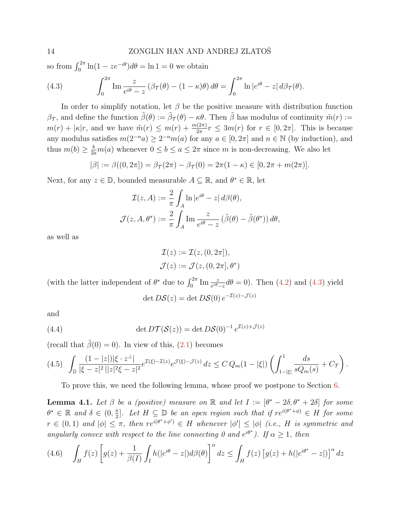so from  $\int_0^{2\pi} \ln(1 - ze^{-i\theta}) d\theta = \ln 1 = 0$  we obtain

<span id="page-13-0"></span>(4.3) 
$$
\int_0^{2\pi} \text{Im} \frac{z}{e^{i\theta} - z} \left( \beta \tau(\theta) - (1 - \kappa)\theta \right) d\theta = \int_0^{2\pi} \text{ln} \left| e^{i\theta} - z \right| d\beta \tau(\theta).
$$

In order to simplify notation, let  $\beta$  be the positive measure with distribution function  $\beta_{\mathcal{T}}$ , and define the function  $\tilde{\beta}(\theta) := \tilde{\beta}_{\mathcal{T}}(\theta) - \kappa \theta$ . Then  $\tilde{\beta}$  has modulus of continuity  $\tilde{m}(r) :=$  $m(r) + |\kappa|r$ , and we have  $\tilde{m}(r) \leq m(r) + \frac{m(2\pi)}{2\pi}r \leq 3m(r)$  for  $r \in [0, 2\pi]$ . This is because any modulus satisfies  $m(2^{-n}a) \geq 2^{-n}m(a)$  for any  $a \in [0, 2\pi]$  and  $n \in \mathbb{N}$  (by induction), and thus  $m(b) \geq \frac{b}{2a}m(a)$  whenever  $0 \leq b \leq a \leq 2\pi$  since m is non-decreasing. We also let

$$
|\beta| := \beta((0, 2\pi]) = \beta_{\mathcal{T}}(2\pi) - \beta_{\mathcal{T}}(0) = 2\pi(1 - \kappa) \in [0, 2\pi + m(2\pi)].
$$

Next, for any  $z \in \mathbb{D}$ , bounded measurable  $A \subseteq \mathbb{R}$ , and  $\theta^* \in \mathbb{R}$ , let

$$
\mathcal{I}(z, A) := \frac{2}{\pi} \int_A \ln |e^{i\theta} - z| d\beta(\theta),
$$

$$
\mathcal{J}(z, A, \theta^*) := \frac{2}{\pi} \int_A \operatorname{Im} \frac{z}{e^{i\theta} - z} (\tilde{\beta}(\theta) - \tilde{\beta}(\theta^*)) d\theta,
$$

as well as

$$
\mathcal{I}(z) := \mathcal{I}(z, (0, 2\pi]),
$$
  

$$
\mathcal{J}(z) := \mathcal{J}(z, (0, 2\pi], \theta^*)
$$

(with the latter independent of  $\theta^*$  due to  $\int_0^{2\pi} \text{Im} \frac{z}{e^{i\theta}-z} d\theta = 0$ ). Then [\(4.2\)](#page-12-2) and [\(4.3\)](#page-13-0) yield

<span id="page-13-4"></span>
$$
\det D\mathcal{S}(z) = \det D\mathcal{S}(0) e^{-\mathcal{I}(z) - \mathcal{J}(z)}
$$

and

(4.4) 
$$
\det DT(\mathcal{S}(z)) = \det DS(0)^{-1} e^{\mathcal{I}(z) + \mathcal{J}(z)}
$$

(recall that  $\tilde{\beta}(0) = 0$ ). In view of this, [\(2.1\)](#page-9-1) becomes

<span id="page-13-2"></span>
$$
(4.5) \quad \int_{\mathbb{D}} \frac{(1-|z|)|\xi \cdot z^{\perp}|}{|\xi - z|^2 \, ||z|^2 \xi - z|^2} e^{\mathcal{I}(\xi) - \mathcal{I}(z)} e^{\mathcal{J}(\xi) - \mathcal{J}(z)} \, dz \leq C \, Q_m(1 - |\xi|) \left( \int_{1-|\xi|}^1 \frac{ds}{sQ_m(s)} + C_{\mathcal{T}} \right).
$$

To prove this, we need the following lemma, whose proof we postpone to Section [6.](#page-26-0)

<span id="page-13-3"></span>**Lemma 4.1.** Let  $\beta$  be a (positive) measure on  $\mathbb R$  and let  $I := [\theta^* - 2\delta, \theta^* + 2\delta]$  for some  $\theta^* \in \mathbb{R}$  and  $\delta \in (0, \frac{\pi}{2})$  $\frac{\pi}{2}$ . Let  $H \subseteq \mathbb{D}$  be an open region such that if  $re^{i(\theta^*+\phi)} \in H$  for some  $r \in (0,1)$  and  $|\phi| \leq \pi$ , then  $re^{i(\theta^*+\phi')} \in H$  whenever  $|\phi'| \leq |\phi|$  (i.e., H is symmetric and angularly convex with respect to the line connecting 0 and  $e^{i\theta^*}$ ). If  $\alpha \geq 1$ , then

<span id="page-13-1"></span>
$$
(4.6)\quad \int_H f(z) \left[ g(z) + \frac{1}{\beta(I)} \int_I h(|e^{i\theta} - z|) d\beta(\theta) \right]^\alpha dz \le \int_H f(z) \left[ g(z) + h(|e^{i\theta^*} - z|) \right]^\alpha dz
$$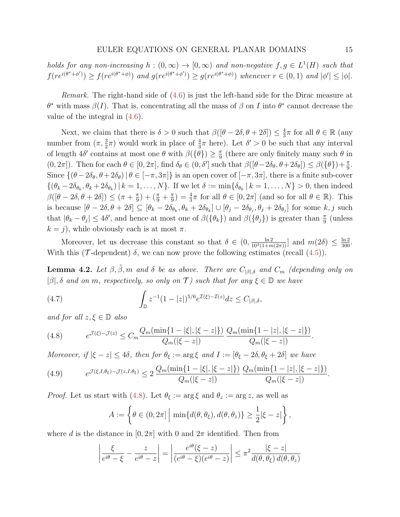holds for any non-increasing  $h : (0, \infty) \to [0, \infty)$  and non-negative  $f, g \in L^1(H)$  such that  $f(re^{i(\theta^*+\phi')}) \ge f(re^{i(\theta^*+\phi)})$  and  $g(re^{i(\theta^*+\phi')}) \ge g(re^{i(\theta^*+\phi)})$  whenever  $r \in (0,1)$  and  $|\phi'| \le |\phi|$ .

Remark. The right-hand side of [\(4.6\)](#page-13-1) is just the left-hand side for the Dirac measure at  $\theta^*$  with mass  $\beta(I)$ . That is, concentrating all the mass of  $\beta$  on I into  $\theta^*$  cannot decrease the value of the integral in [\(4.6\)](#page-13-1).

Next, we claim that there is  $\delta > 0$  such that  $\beta([\theta - 2\delta, \theta + 2\delta]) \leq \frac{4}{3}$  $\frac{4}{3}\pi$  for all  $\theta \in \mathbb{R}$  (any number from  $(\pi, \frac{3}{2}\pi)$  would work in place of  $\frac{4}{3}\pi$  here). Let  $\delta' > 0$  be such that any interval of length  $4\delta'$  contains at most one  $\theta$  with  $\beta(\{\theta\}) \geq \frac{\pi}{9}$  $\frac{\pi}{9}$  (there are only finitely many such  $\theta$  in  $(0, 2\pi]$ . Then for each  $\theta \in [0, 2\pi]$ , find  $\delta_{\theta} \in (0, \delta']$  such that  $\beta([\theta - 2\delta_{\theta}, \theta + 2\delta_{\theta}]) \leq \beta(\{\theta\}) + \frac{\pi}{9}$ . Since  $\{(\theta - 2\delta_{\theta}, \theta + 2\delta_{\theta}) | \theta \in [-\pi, 3\pi] \}$  is an open cover of  $[-\pi, 3\pi]$ , there is a finite sub-cover  $\{(\theta_k-2\delta_{\theta_k}, \theta_k+2\delta_{\theta_k})\,|\,k=1,\ldots,N\}$ . If we let  $\delta := \min\{\delta_{\theta_k}\,|\,k=1,\ldots,N\} > 0$ , then indeed  $\beta([\theta - 2\delta, \theta + 2\delta]) \leq (\pi + \frac{\pi}{9})$  $(\frac{\pi}{9}) + (\frac{\pi}{9} + \frac{\pi}{9})$  $\frac{\pi}{9}$ ) =  $\frac{4}{3}\pi$  for all  $\theta \in [0, 2\pi]$  (and so for all  $\theta \in \mathbb{R}$ ). This is because  $[\theta - 2\delta, \theta + 2\delta] \subseteq [\theta_k - 2\delta_{\theta_k}, \theta_k + 2\delta_{\theta_k}] \cup [\theta_j - 2\delta_{\theta_j}, \theta_j + 2\delta_{\theta_j}]$  for some  $k, j$  such that  $|\theta_k - \theta_j| \leq 4\delta'$ , and hence at most one of  $\beta({\theta_k})$  and  $\beta({\theta_j})$  is greater than  $\frac{\pi}{9}$  (unless  $k = j$ , while obviously each is at most  $\pi$ .

Moreover, let us decrease this constant so that  $\delta \in (0, \frac{\ln 2}{10^3(1+m(2\pi))}]$  and  $m(2\delta) \le \frac{\ln 2}{300}$ . With this ( $\mathcal T$ -dependent)  $\delta$ , we can now prove the following estimates (recall [\(4.5\)](#page-13-2)).

**Lemma 4.2.** Let  $\beta$ ,  $\tilde{\beta}$ ,  $m$  and  $\delta$  be as above. There are  $C_{|\beta|,\delta}$  and  $C_m$  (depending only on  $|\beta|$ ,  $\delta$  and on m, respectively, so only on  $\mathcal{T}$ ) such that for any  $\xi \in \mathbb{D}$  we have

<span id="page-14-2"></span>(4.7) 
$$
\int_{\mathbb{D}} z^{-1} (1 - |z|)^{5/6} e^{\mathcal{I}(\xi) - \mathcal{I}(z)} dz \le C_{|\beta|, \delta},
$$

and for all  $z, \xi \in \mathbb{D}$  also

<span id="page-14-0"></span>(4.8) 
$$
e^{\mathcal{J}(\xi)-\mathcal{J}(z)} \leq C_m \frac{Q_m(\min\{1-|\xi|, |\xi-z|\})}{Q_m(|\xi-z|)} \frac{Q_m(\min\{1-|z|, |\xi-z|\})}{Q_m(|\xi-z|)}.
$$

Moreover, if  $|\xi - z| \le 4\delta$ , then for  $\theta_{\xi} := \arg \xi$  and  $I := [\theta_{\xi} - 2\delta, \theta_{\xi} + 2\delta]$  we have

<span id="page-14-1"></span>(4.9) 
$$
e^{\mathcal{J}(\xi, I, \theta_{\xi}) - \mathcal{J}(z, I, \theta_{\xi})} \leq 2 \frac{Q_m(\min\{1 - |\xi|, |\xi - z|\})}{Q_m(|\xi - z|)} \frac{Q_m(\min\{1 - |z|, |\xi - z|\})}{Q_m(|\xi - z|)}.
$$

*Proof.* Let us start with [\(4.8\)](#page-14-0). Let  $\theta_{\xi} := \arg \xi$  and  $\theta_{z} := \arg z$ , as well as

$$
A := \left\{ \theta \in (0, 2\pi] \middle| \min\{d(\theta, \theta_{\xi}), d(\theta, \theta_{z})\} \ge \frac{1}{2} |\xi - z| \right\},\
$$

where d is the distance in  $[0, 2\pi]$  with 0 and  $2\pi$  identified. Then from

$$
\left| \frac{\xi}{e^{i\theta} - \xi} - \frac{z}{e^{i\theta} - z} \right| = \left| \frac{e^{i\theta}(\xi - z)}{(e^{i\theta} - \xi)(e^{i\theta} - z)} \right| \le \pi^2 \frac{|\xi - z|}{d(\theta, \theta_\xi) d(\theta, \theta_z)}
$$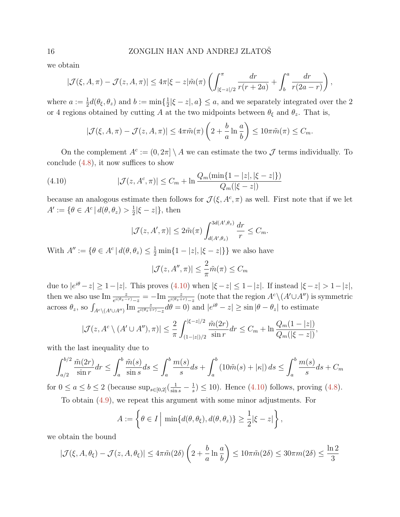### 16 ZONGLIN HAN AND ANDREJ ZLATOŠ

we obtain

$$
|\mathcal{J}(\xi, A, \pi) - \mathcal{J}(z, A, \pi)| \leq 4\pi |\xi - z| \tilde{m}(\pi) \left( \int_{|\xi - z|/2}^{\pi} \frac{dr}{r(r + 2a)} + \int_{b}^{a} \frac{dr}{r(2a - r)} \right),
$$

where  $a := \frac{1}{2}d(\theta_{\xi}, \theta_z)$  and  $b := \min\{\frac{1}{2}$  $\frac{1}{2}|\xi - z|, a\} \leq a$ , and we separately integrated over the 2 or 4 regions obtained by cutting A at the two midpoints between  $\theta_{\xi}$  and  $\theta_{z}$ . That is,

$$
|\mathcal{J}(\xi, A, \pi) - \mathcal{J}(z, A, \pi)| \le 4\pi \tilde{m}(\pi) \left(2 + \frac{b}{a} \ln \frac{a}{b}\right) \le 10\pi \tilde{m}(\pi) \le C_m.
$$

On the complement  $A^c := (0, 2\pi) \setminus A$  we can estimate the two  $\mathcal J$  terms individually. To conclude  $(4.8)$ , it now suffices to show

(4.10) 
$$
|\mathcal{J}(z, A^c, \pi)| \leq C_m + \ln \frac{Q_m(\min\{1-|z|, |\xi-z|\})}{Q_m(|\xi-z|)}
$$

because an analogous estimate then follows for  $\mathcal{J}(\xi, A^c, \pi)$  as well. First note that if we let  $A' := \{ \theta \in A^c \mid d(\theta, \theta_z) > \frac{1}{2} \}$  $\frac{1}{2}|\xi-z|\},\$  then

<span id="page-15-0"></span>
$$
|\mathcal{J}(z, A', \pi)| \le 2\tilde{m}(\pi) \int_{d(A', \theta_z)}^{3d(A', \theta_z)} \frac{dr}{r} \le C_m.
$$

With  $A'' := \{ \theta \in A^c \mid d(\theta, \theta_z) \leq \frac{1}{2} \min\{1 - |z|, |\xi - z|\} \}$  we also have

$$
|\mathcal{J}(z, A'', \pi)| \le \frac{2}{\pi} \tilde{m}(\pi) \le C_m
$$

due to  $|e^{i\theta} - z| \ge 1 - |z|$ . This proves  $(4.10)$  when  $|\xi - z| \le 1 - |z|$ . If instead  $|\xi - z| > 1 - |z|$ , then we also use  $\text{Im}\frac{z}{e^{i(\theta_z - r)} - z} = -\text{Im}\frac{z}{e^{i(\theta_z + r)} - z}$  (note that the region  $A^c \setminus (A' \cup A'')$  is symmetric across  $\theta_z$ , so  $\int_{A^c \setminus (A' \cup A'')} \text{Im} \frac{z}{e^{i(\theta_z + r)} - z} d\theta = 0$  and  $|e^{i\theta} - z| \ge \sin |\theta - \theta_z|$  to estimate

$$
|\mathcal{J}(z, A^c \setminus (A' \cup A''), \pi)| \leq \frac{2}{\pi} \int_{(1-|z|)/2}^{|\xi - z|/2} \frac{\tilde{m}(2r)}{\sin r} dr \leq C_m + \ln \frac{Q_m(1-|z|)}{Q_m(|\xi - z|)},
$$

with the last inequality due to

$$
\int_{a/2}^{b/2} \frac{\tilde{m}(2r)}{\sin r} dr \le \int_{a}^{b} \frac{\tilde{m}(s)}{\sin s} ds \le \int_{a}^{b} \frac{m(s)}{s} ds + \int_{a}^{b} (10\tilde{m}(s) + |\kappa|) ds \le \int_{a}^{b} \frac{m(s)}{s} ds + C_m
$$

for  $0 \le a \le b \le 2$  (because  $\sup_{s \in [0,2]} \left( \frac{1}{\sin s} - \frac{1}{s} \right)$  $(\frac{1}{s}) \le 10$ ). Hence  $(4.10)$  follows, proving  $(4.8)$ .

To obtain [\(4.9\)](#page-14-1), we repeat this argument with some minor adjustments. For

$$
A := \left\{ \theta \in I \mid \min\{d(\theta, \theta_{\xi}), d(\theta, \theta_{z})\} \ge \frac{1}{2} |\xi - z| \right\},\
$$

we obtain the bound

$$
|\mathcal{J}(\xi, A, \theta_{\xi}) - \mathcal{J}(z, A, \theta_{\xi})| \leq 4\pi \tilde{m}(2\delta) \left(2 + \frac{b}{a} \ln \frac{a}{b}\right) \leq 10\pi \tilde{m}(2\delta) \leq 30\pi m(2\delta) \leq \frac{\ln 2}{3}
$$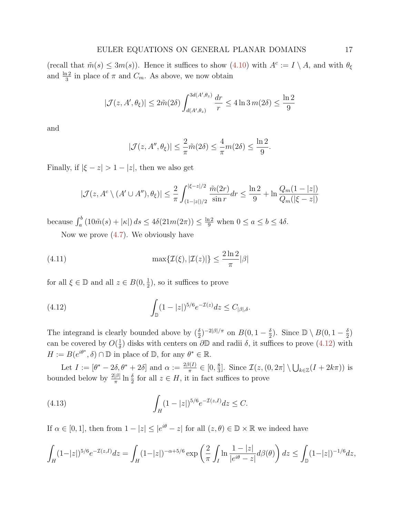(recall that  $\tilde{m}(s) \leq 3m(s)$ ). Hence it suffices to show  $(4.10)$  with  $A^c := I \setminus A$ , and with  $\theta_{\xi}$ and  $\frac{\ln 2}{3}$  in place of  $\pi$  and  $C_m$ . As above, we now obtain

$$
|\mathcal{J}(z, A', \theta_{\xi})| \le 2\tilde{m}(2\delta) \int_{d(A', \theta_z)}^{3d(A', \theta_z)} \frac{dr}{r} \le 4\ln 3 \, m(2\delta) \le \frac{\ln 2}{9}
$$

and

$$
|\mathcal{J}(z, A'', \theta_{\xi})| \le \frac{2}{\pi} \tilde{m}(2\delta) \le \frac{4}{\pi} m(2\delta) \le \frac{\ln 2}{9}
$$

.

Finally, if  $|\xi - z| > 1 - |z|$ , then we also get

$$
|\mathcal{J}(z, A^c \setminus (A' \cup A''), \theta_{\xi})| \le \frac{2}{\pi} \int_{(1-|z|)/2}^{|\xi - z|/2} \frac{\tilde{m}(2r)}{\sin r} dr \le \frac{\ln 2}{9} + \ln \frac{Q_m(1-|z|)}{Q_m(|\xi - z|)}
$$

because  $\int_a^b (10\tilde{m}(s) + |\kappa|) ds \leq 4\delta(21m(2\pi)) \leq \frac{\ln 2}{9}$  when  $0 \leq a \leq b \leq 4\delta$ .

<span id="page-16-2"></span>Now we prove  $(4.7)$ . We obviously have

(4.11) 
$$
\max\{\mathcal{I}(\xi),|\mathcal{I}(z)|\}\leq\frac{2\ln 2}{\pi}|\beta|
$$

for all  $\xi \in \mathbb{D}$  and all  $z \in B(0, \frac{1}{2})$  $(\frac{1}{2})$ , so it suffices to prove

<span id="page-16-0"></span>(4.12) 
$$
\int_{\mathbb{D}} (1-|z|)^{5/6} e^{-\mathcal{I}(z)} dz \le C_{|\beta|,\delta}.
$$

The integrand is clearly bounded above by  $(\frac{\delta}{2})^{-2|\beta|/\pi}$  on  $B(0, 1-\frac{\delta}{2})$  $\frac{\delta}{2}$ ). Since  $\mathbb{D} \setminus B(0, 1 - \frac{\delta}{2})$  $\frac{\delta}{2})$ can be covered by  $O(\frac{1}{\delta})$  $\frac{1}{\delta}$ ) disks with centers on  $\partial\mathbb{D}$  and radii  $\delta$ , it suffices to prove [\(4.12\)](#page-16-0) with  $H := B(e^{i\theta^*}, \delta) \cap \mathbb{D}$  in place of  $\mathbb{D}$ , for any  $\theta^* \in \mathbb{R}$ .

Let  $I := [\theta^* - 2\delta, \theta^* + 2\delta]$  and  $\alpha := \frac{2\beta(I)}{\pi}$  $\frac{\beta(I)}{\pi} \in [0, \frac{8}{3}]$  $\frac{8}{3}$ . Since  $\mathcal{I}(z, (0, 2\pi] \setminus \bigcup_{k \in \mathbb{Z}} (I + 2k\pi))$  is bounded below by  $\frac{2|\beta|}{\pi} \ln \frac{\delta}{2}$  for all  $z \in H$ , it in fact suffices to prove

<span id="page-16-1"></span>(4.13) 
$$
\int_H (1-|z|)^{5/6} e^{-\mathcal{I}(z,I)} dz \leq C.
$$

If  $\alpha \in [0,1]$ , then from  $1 - |z| \le |e^{i\theta} - z|$  for all  $(z, \theta) \in \mathbb{D} \times \mathbb{R}$  we indeed have

$$
\int_H (1-|z|)^{5/6} e^{-\mathcal{I}(z,I)} dz = \int_H (1-|z|)^{-\alpha+5/6} \exp\left(\frac{2}{\pi} \int_I \ln \frac{1-|z|}{|e^{i\theta}-z|} d\beta(\theta)\right) dz \le \int_{\mathbb{D}} (1-|z|)^{-1/6} dz,
$$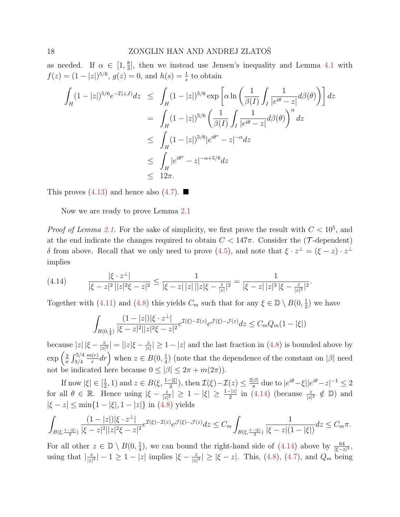as needed. If  $\alpha \in [1, \frac{8}{3}]$  $\frac{8}{3}$ , then we instead use Jensen's inequality and Lemma [4.1](#page-13-3) with  $f(z) = (1 - |z|)^{5/6}, g(z) = 0, \text{ and } h(s) = \frac{1}{s}$  to obtain

$$
\int_{H} (1-|z|)^{5/6} e^{-\mathcal{I}(z,I)} dz \leq \int_{H} (1-|z|)^{5/6} \exp\left[\alpha \ln\left(\frac{1}{\beta(I)} \int_{I} \frac{1}{|e^{i\theta}-z|} d\beta(\theta)\right)\right] dz
$$
\n
$$
= \int_{H} (1-|z|)^{5/6} \left(\frac{1}{\beta(I)} \int_{I} \frac{1}{|e^{i\theta}-z|} d\beta(\theta)\right)^{\alpha} dz
$$
\n
$$
\leq \int_{H} (1-|z|)^{5/6} |e^{i\theta^{*}} - z|^{-\alpha} dz
$$
\n
$$
\leq \int_{H} |e^{i\theta^{*}} - z|^{-\alpha+5/6} dz
$$
\n
$$
\leq 12\pi.
$$

This proves  $(4.13)$  and hence also  $(4.7)$ .

Now we are ready to prove Lemma [2.1](#page-9-0)

*Proof of Lemma [2.1.](#page-9-0)* For the sake of simplicity, we first prove the result with  $C < 10^5$ , and at the end indicate the changes required to obtain  $C < 147\pi$ . Consider the (T-dependent)  $\delta$  from above. Recall that we only need to prove [\(4.5\)](#page-13-2), and note that  $\xi \cdot z^{\perp} = (\xi - z) \cdot z^{\perp}$ implies

<span id="page-17-0"></span>
$$
(4.14) \qquad \frac{|\xi \cdot z^{\perp}|}{|\xi - z|^2 ||z|^2 \xi - z|^2} \le \frac{1}{|\xi - z| ||z|| ||z|\xi - \frac{z}{|z||}|^2} = \frac{1}{|\xi - z| ||z|^3 |\xi - \frac{z}{|z|^2}|^2}.
$$

Together with [\(4.11\)](#page-16-2) and [\(4.8\)](#page-14-0) this yields  $C_m$  such that for any  $\xi \in \mathbb{D} \setminus B(0, \frac{1}{2})$  $(\frac{1}{2})$  we have

$$
\int_{B(0,\frac{1}{4})} \frac{(1-|z|)|\xi \cdot z^{\perp}|}{|\xi - z|^2 ||z|^2 \xi - z|^2} e^{\mathcal{I}(\xi) - \mathcal{I}(z)} e^{\mathcal{J}(\xi) - \mathcal{J}(z)} dz \le C_m Q_m (1 - |\xi|)
$$

because  $|z| |\xi - \frac{z}{|z|}$  $\frac{z}{|z|^2}| = ||z|\xi - \frac{z}{|z|}$  $|\frac{z}{|z|}|\geq 1-|z|$  and the last fraction in  $(4.8)$  is bounded above by  $\exp\left(\frac{2}{\pi}\right)$  $\frac{2}{\pi} \int_{3/4}^{5/4}$  $m(r)$  $(\frac{r}{r}) dr$  when  $z \in B(0, \frac{1}{4})$  $\frac{1}{4}$ ) (note that the dependence of the constant on | $\beta$ | need not be indicated here because  $0 < |\beta| < 2\pi + m(2\pi)$ .

If now  $|\xi| \in [\frac{1}{2}]$  $(\frac{1}{2}, 1)$  and  $z \in B(\xi, \frac{1-|\xi|}{2})$ , then  $\mathcal{I}(\xi) - \mathcal{I}(z) \leq \frac{2|\beta|}{\pi}$  $\frac{|\beta|}{\pi}$  due to  $|e^{i\theta} - \xi| |e^{i\theta} - z|^{-1} \leq 2$ for all  $\theta \in \mathbb{R}$ . Hence using  $|\xi - \frac{z}{|\xi|}$  $\frac{z}{|z|^2} \geq 1 - |\xi| \geq \frac{1-|z|}{2}$  in [\(4.14\)](#page-17-0) (because  $\frac{z}{|z|^2} \notin \mathbb{D}$ ) and  $|\xi - z| \le \min\{1 - |\xi|, 1 - |z|\}$  in [\(4.8\)](#page-14-0) yields

$$
\int_{B(\xi,\frac{1-|\xi|}{2})}\frac{(1-|z|)|\xi\cdot z^\perp|}{|\xi-z|^2||z|^2\xi-z|^2}e^{\mathcal{I}(\xi)-\mathcal{I}(z)}e^{\mathcal{J}(\xi)-\mathcal{J}(z)}dz\leq C_m\int_{B(\xi,\frac{1-|\xi|}{2})}\frac{1}{|\xi-z|(1-|\xi|)}dz\leq C_m\pi.
$$

For all other  $z \in \mathbb{D} \setminus B(0, \frac{1}{4})$  $\frac{1}{4}$ , we can bound the right-hand side of [\(4.14\)](#page-17-0) above by  $\frac{64}{|\xi - z|^3}$ , using that  $\frac{z}{|z|}$  $|\frac{z}{|z|^2}| - 1 \ge 1 - |z|$  implies  $|\xi - \frac{z}{|z|}$  $|\frac{z}{|z|^2}| \ge |\xi - z|$ . This, [\(4.8\)](#page-14-0), [\(4.7\)](#page-14-2), and  $Q_m$  being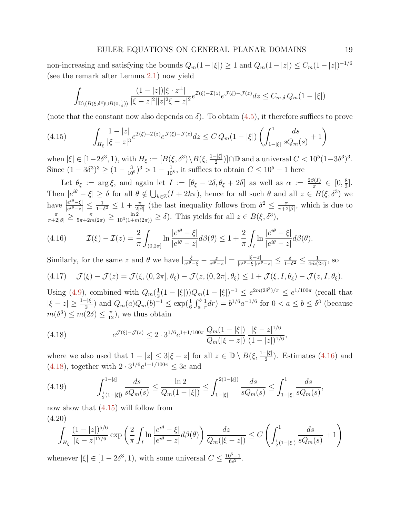non-increasing and satisfying the bounds  $Q_m(1-|\xi|) \geq 1$  and  $Q_m(1-|z|) \leq C_m(1-|z|)^{-1/6}$ (see the remark after Lemma [2.1\)](#page-9-0) now yield

$$
\int_{\mathbb{D}\backslash (B(\xi,\delta^3)\cup B(0,\frac{1}{4}))}\frac{(1-|z|)|\xi\cdot z^{\perp}|}{|\xi-z|^2||z|^2\xi-z|^2}e^{\mathcal{I}(\xi)-\mathcal{I}(z)}e^{\mathcal{J}(\xi)-\mathcal{J}(z)}dz\leq C_{m,\delta}Q_m(1-|\xi|)
$$

(note that the constant now also depends on  $\delta$ ). To obtain [\(4.5\)](#page-13-2), it therefore suffices to prove

<span id="page-18-2"></span>
$$
(4.15) \qquad \int_{H_{\xi}} \frac{1-|z|}{|\xi-z|^3} e^{\mathcal{I}(\xi)-\mathcal{I}(z)} e^{\mathcal{J}(\xi)-\mathcal{J}(z)} dz \leq C Q_m (1-|\xi|) \left( \int_{1-|\xi|}^1 \frac{ds}{sQ_m(s)} + 1 \right)
$$

when  $|\xi| \in [1-2\delta^3, 1)$ , with  $H_{\xi} := [B(\xi, \delta^3) \setminus B(\xi, \frac{1-|\xi|}{2})] \cap \mathbb{D}$  and a universal  $C < 10^5(1-3\delta^3)^3$ . Since  $(1-3\delta^3)^3 \ge (1-\frac{3}{10^9})^3 > 1-\frac{1}{10^9}$  $\frac{1}{10^8}$ , it suffices to obtain  $C \leq 10^5 - 1$  here

Let  $\theta_{\xi} := \arg \xi$ , and again let  $I := [\theta_{\xi} - 2\delta, \theta_{\xi} + 2\delta]$  as well as  $\alpha := \frac{2\beta(I)}{\pi}$  $\frac{\partial (I)}{\pi} \in [0, \frac{8}{3}]$  $\frac{8}{3}$ . Then  $|e^{i\theta} - \xi| \ge \delta$  for all  $\theta \notin \bigcup_{k \in \mathbb{Z}} (I + 2k\pi)$ , hence for all such  $\theta$  and all  $z \in B(\xi, \delta^3)$  we have  $\frac{|e^{i\theta} - \xi|}{|e^{i\theta} - \xi|}$  $\frac{|e^{i\theta}-\xi|}{|e^{i\theta}-z|}\leq \frac{1}{1-\delta}$  $\frac{1}{1-\delta^2}$  ≤ 1 +  $\frac{\pi}{2|\beta|}$  (the last inequality follows from  $\delta^2$  ≤  $\frac{\pi}{\pi+2}$  $\frac{\pi}{\pi+2|\beta|}$ , which is due to  $\frac{\pi}{\pi+2|\beta|} \ge \frac{\pi}{5\pi+2m(2\pi)} \ge \frac{\ln 2}{10^3(1+m(2\pi))} \ge \delta$ . This yields for all  $z \in B(\xi, \delta^3)$ ,

<span id="page-18-0"></span>(4.16) 
$$
\mathcal{I}(\xi) - \mathcal{I}(z) = \frac{2}{\pi} \int_{(0,2\pi]} \ln \frac{|e^{i\theta} - \xi|}{|e^{i\theta} - z|} d\beta(\theta) \leq 1 + \frac{2}{\pi} \int_{I} \ln \frac{|e^{i\theta} - \xi|}{|e^{i\theta} - z|} d\beta(\theta).
$$

<span id="page-18-4"></span>Similarly, for the same z and  $\theta$  we have  $\frac{\xi}{\epsilon^{i\theta}}$  $\frac{\xi}{e^{i\theta}-\xi}-\frac{z}{e^{i\theta}}$  $\frac{z}{e^{i\theta}-z}\vert=\frac{\vert \xi-z\vert}{\vert e^{i\theta}-\xi\vert \vert e^{i\theta}}$  $\frac{|\xi-z|}{|e^{i\theta}-\xi||e^{i\theta}-z|} \leq \frac{\delta}{1-\delta}$  $\frac{\delta}{1-\delta^2}\leq \frac{1}{4\tilde{m}}$  $\frac{1}{4\tilde{m}(2\pi)}$ , so (4.17)  $\mathcal{J}(\xi) - \mathcal{J}(z) = \mathcal{J}(\xi,(0,2\pi],\theta_{\xi}) - \mathcal{J}(z,(0,2\pi],\theta_{\xi}) \leq 1 + \mathcal{J}(\xi,I,\theta_{\xi}) - \mathcal{J}(z,I,\theta_{\xi}).$ 

Using [\(4.9\)](#page-14-1), combined with  $Q_m(\frac{1}{2})$  $\frac{1}{2}(1-|\xi|)Q_m(1-|\xi|)^{-1} \leq e^{2m(2\delta^3)/\pi} \leq e^{1/100\pi}$  (recall that  $|\xi - z| \geq \frac{1-|\xi|}{2}$  and  $Q_m(a)Q_m(b)^{-1} \leq \exp(\frac{1}{6} \int_a^b$ 1  $(\frac{1}{r}dr) = b^{1/6}a^{-1/6}$  for  $0 < a \le b \le \delta^3$  (because  $m(\delta^3) \leq m(2\delta) \leq \frac{\pi}{12}$ , we thus obtain

<span id="page-18-1"></span>(4.18) 
$$
e^{\mathcal{J}(\xi)-\mathcal{J}(z)} \leq 2 \cdot 3^{1/6} e^{1+1/100\pi} \frac{Q_m(1-|\xi|)}{Q_m(|\xi-z|)} \frac{|\xi-z|^{1/6}}{(1-|z|)^{1/6}},
$$

where we also used that  $1 - |z| \leq 3|\xi - z|$  for all  $z \in \mathbb{D} \setminus B(\xi, \frac{1-|\xi|}{2})$ . Estimates [\(4.16\)](#page-18-0) and  $(4.18)$ , together with  $2 \cdot 3^{1/6} e^{1+1/100\pi} \leq 3e$  and

<span id="page-18-5"></span>(4.19) 
$$
\int_{\frac{1}{2}(1-|\xi|)}^{1-|\xi|} \frac{ds}{sQ_m(s)} \leq \frac{\ln 2}{Q_m(1-|\xi|)} \leq \int_{1-|\xi|}^{2(1-|\xi|)} \frac{ds}{sQ_m(s)} \leq \int_{1-|\xi|}^{1} \frac{ds}{sQ_m(s)},
$$

now show that  $(4.15)$  will follow from (4.20)

<span id="page-18-3"></span>
$$
\int_{H_{\xi}} \frac{(1-|z|)^{5/6}}{|\xi - z|^{17/6}} \exp\left(\frac{2}{\pi} \int_{I} \ln \frac{|e^{i\theta} - \xi|}{|e^{i\theta} - z|} d\beta(\theta)\right) \frac{dz}{Q_m(|\xi - z|)} \leq C \left(\int_{\frac{1}{2}(1-|\xi|)}^{1} \frac{ds}{sQ_m(s)} + 1\right)
$$

whenever  $|\xi| \in [1 - 2\delta^3, 1)$ , with some universal  $C \leq \frac{10^5 - 1}{6e^2}$  $\frac{0^{3}-1}{6e^{2}}$ .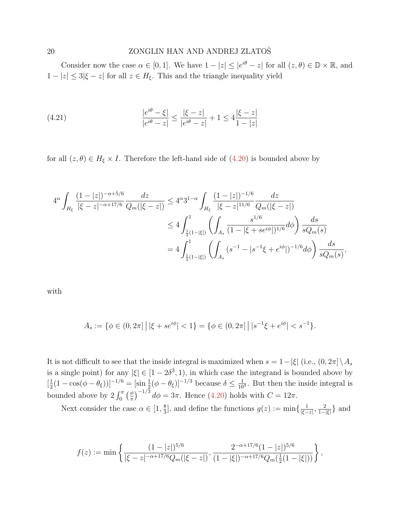Consider now the case  $\alpha \in [0,1]$ . We have  $1 - |z| \le |e^{i\theta} - z|$  for all  $(z, \theta) \in \mathbb{D} \times \mathbb{R}$ , and  $1 - |z| \leq 3|\xi - z|$  for all  $z \in H_{\xi}$ . This and the triangle inequality yield

<span id="page-19-0"></span>(4.21) 
$$
\frac{|e^{i\theta} - \xi|}{|e^{i\theta} - z|} \le \frac{|\xi - z|}{|e^{i\theta} - z|} + 1 \le 4\frac{|\xi - z|}{1 - |z|}
$$

for all  $(z, \theta) \in H_{\xi} \times I$ . Therefore the left-hand side of  $(4.20)$  is bounded above by

$$
\begin{split} 4^{\alpha}\int_{H_{\xi}}\frac{(1-|z|)^{-\alpha+5/6}}{|\xi-z|^{-\alpha+17/6}}\frac{dz}{Q_{m}(|\xi-z|)} &\leq 4^{\alpha}3^{1-\alpha}\int_{H_{\xi}}\frac{(1-|z|)^{-1/6}}{|\xi-z|^{11/6}}\frac{dz}{Q_{m}(|\xi-z|)}\\ &\leq 4\int_{\frac{1}{2}(1-|\xi|)}^{1}\left(\int_{A_{s}}\frac{s^{1/6}}{(1-|\xi+se^{i\phi}|)^{1/6}}d\phi\right)\frac{ds}{sQ_{m}(s)}\\ &=4\int_{\frac{1}{2}(1-|\xi|)}^{1}\left(\int_{A_{s}}(s^{-1}-|s^{-1}\xi+e^{i\phi}|)^{-1/6}d\phi\right)\frac{ds}{sQ_{m}(s)}, \end{split}
$$

with

$$
A_s := \{ \phi \in (0, 2\pi] \, \big| \, |\xi + s e^{i\phi}| < 1 \} = \{ \phi \in (0, 2\pi] \, \big| \, |s^{-1}\xi + e^{i\phi}| < s^{-1} \}.
$$

It is not difficult to see that the inside integral is maximized when  $s = 1 - |\xi|$  (i.e.,  $(0, 2\pi] \setminus A_s$ is a single point) for any  $|\xi| \in [1 - 2\delta^3, 1)$ , in which case the integrand is bounded above by  $\left[\frac{1}{2}\right]$  $\frac{1}{2}(1-\cos(\phi-\theta_{\xi}))]^{-1/6} = \left[\sin{\frac{1}{2}(\phi-\theta_{\xi})}\right]^{-1/3}$  because  $\delta \leq \frac{1}{10}$  $\frac{1}{10^3}$ . But then the inside integral is bounded above by  $2 \int_0^{\pi} \left(\frac{\phi}{\pi}\right)$  $\frac{\phi}{\pi}$  $^{-1/3}$   $d\phi = 3\pi$ . Hence [\(4.20\)](#page-18-3) holds with  $C = 12\pi$ .

Next consider the case  $\alpha \in [1, \frac{8}{3}]$  $\frac{8}{3}$ , and define the functions  $g(z) := \min\{\frac{1}{|\xi-z|}\}$  $\frac{1}{|\xi - z|}, \frac{2}{1-z}$  $\frac{2}{1-|\xi|}$ } and

$$
f(z) := \min\left\{ \frac{(1-|z|)^{5/6}}{|\xi - z|^{-\alpha + 17/6} Q_m(|\xi - z|)}, \frac{2^{-\alpha + 17/6} (1-|z|)^{5/6}}{(1-|\xi|)^{-\alpha + 17/6} Q_m(\frac{1}{2}(1-|\xi|))} \right\},\,
$$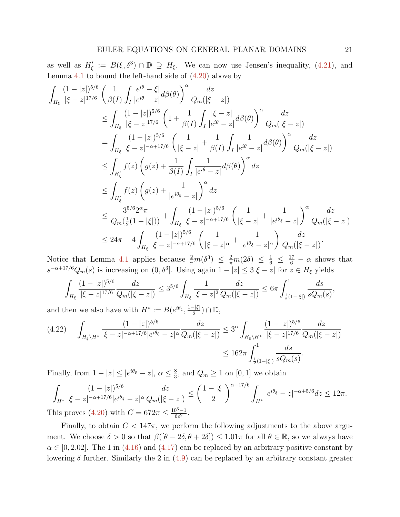as well as  $H'_{\xi} := B(\xi, \delta^3) \cap \mathbb{D} \supseteq H_{\xi}$ . We can now use Jensen's inequality, [\(4.21\)](#page-19-0), and Lemma [4.1](#page-13-3) to bound the left-hand side of  $(4.20)$  above by

$$
\int_{H_{\xi}} \frac{(1-|z|)^{5/6}}{|\xi-z|^{17/6}} \left(\frac{1}{\beta(I)} \int_{I} \frac{|e^{i\theta}-\xi|}{|e^{i\theta}-z|} d\beta(\theta)\right)^{\alpha} \frac{dz}{Q_{m}(|\xi-z|)}
$$
\n
$$
\leq \int_{H_{\xi}} \frac{(1-|z|)^{5/6}}{|\xi-z|^{17/6}} \left(1+\frac{1}{\beta(I)} \int_{I} \frac{|\xi-z|}{|e^{i\theta}-z|} d\beta(\theta)\right)^{\alpha} \frac{dz}{Q_{m}(|\xi-z|)}
$$
\n
$$
= \int_{H_{\xi}} \frac{(1-|z|)^{5/6}}{|\xi-z|^{-\alpha+17/6}} \left(\frac{1}{|\xi-z|} + \frac{1}{\beta(I)} \int_{I} \frac{1}{|e^{i\theta}-z|} d\beta(\theta)\right)^{\alpha} \frac{dz}{Q_{m}(|\xi-z|)}
$$
\n
$$
\leq \int_{H'_{\xi}} f(z) \left(g(z) + \frac{1}{\beta(I)} \int_{I} \frac{1}{|e^{i\theta}-z|} d\beta(\theta)\right)^{\alpha} dz
$$
\n
$$
\leq \int_{H'_{\xi}} f(z) \left(g(z) + \frac{1}{|e^{i\theta_{\xi}-z|}}\right)^{\alpha} dz
$$
\n
$$
\leq \frac{3^{5/6} 2^{\alpha} \pi}{Q_{m}(\frac{1}{2}(1-|\xi|))} + \int_{H_{\xi}} \frac{(1-|z|)^{5/6}}{|\xi-z|^{-\alpha+17/6}} \left(\frac{1}{|\xi-z|} + \frac{1}{|e^{i\theta_{\xi}-z}|}\right)^{\alpha} \frac{dz}{Q_{m}(|\xi-z|)}
$$
\n
$$
\leq 24\pi + 4 \int_{H_{\xi}} \frac{(1-|z|)^{5/6}}{|\xi-z|^{-\alpha+17/6}} \left(\frac{1}{|\xi-z|^{\alpha}} + \frac{1}{|e^{i\theta_{\xi}-z|^{\alpha}}}\right) \frac{dz}{Q_{m}(|\xi-z|)}.
$$

Notice that Lemma [4.1](#page-13-3) applies because  $\frac{2}{\pi}m(\delta^3) \leq \frac{2}{\pi}m(2\delta) \leq \frac{1}{6} \leq \frac{17}{6} - \alpha$  shows that  $s^{-\alpha+17/6}Q_m(s)$  is increasing on  $(0,\delta^3]$ . Using again  $1-|z| \leq 3|\xi-z|$  for  $z \in H_\xi$  yields

$$
\int_{H_{\xi}} \frac{(1-|z|)^{5/6}}{|\xi-z|^{17/6}} \frac{dz}{Q_m(|\xi-z|)} \leq 3^{5/6} \int_{H_{\xi}} \frac{1}{|\xi-z|^2} \frac{dz}{Q_m(|\xi-z|)} \leq 6\pi \int_{\frac{1}{2}(1-|\xi|)}^1 \frac{ds}{sQ_m(s)},
$$

and then we also have with  $H^* := B(e^{i\theta_{\xi}}, \frac{1-|\xi|}{2})$  $\frac{-|\xi|}{2}) \cap \mathbb{D},$ 

<span id="page-20-0"></span>
$$
(4.22) \quad \int_{H_{\xi}\backslash H^{*}} \frac{(1-|z|)^{5/6}}{|\xi-z|^{-\alpha+17/6}|e^{i\theta_{\xi}}-z|^{\alpha}} \frac{dz}{Q_{m}(|\xi-z|)} \leq 3^{\alpha} \int_{H_{\xi}\backslash H^{*}} \frac{(1-|z|)^{5/6}}{|\xi-z|^{17/6}} \frac{dz}{Q_{m}(|\xi-z|)} \leq 162\pi \int_{\frac{1}{2}(1-|\xi|)}^{1} \frac{ds}{sQ_{m}(s)}.
$$

Finally, from  $1-|z| \leq |e^{i\theta_{\xi}} - z|, \ \alpha \leq \frac{8}{3}$  $\frac{8}{3}$ , and  $Q_m \ge 1$  on [0, 1] we obtain

$$
\int_{H^*} \frac{(1-|z|)^{5/6}}{|\xi - z|^{-\alpha + 17/6} |e^{i\theta_{\xi}} - z|^{\alpha}} \frac{dz}{Q_m(|\xi - z|)} \le \left(\frac{1-|\xi|}{2}\right)^{\alpha - 17/6} \int_{H^*} |e^{i\theta_{\xi}} - z|^{-\alpha + 5/6} dz \le 12\pi.
$$
  
This proves (4.20) with  $C = 672\pi \le \frac{10^5 - 1}{6e^2}$ .

Finally, to obtain  $C < 147\pi$ , we perform the following adjustments to the above argument. We choose  $\delta > 0$  so that  $\beta([\theta - 2\delta, \theta + 2\delta]) \leq 1.01\pi$  for all  $\theta \in \mathbb{R}$ , so we always have  $\alpha \in [0, 2.02]$ . The 1 in [\(4.16\)](#page-18-0) and [\(4.17\)](#page-18-4) can be replaced by an arbitrary positive constant by lowering  $\delta$  further. Similarly the 2 in  $(4.9)$  can be replaced by an arbitrary constant greater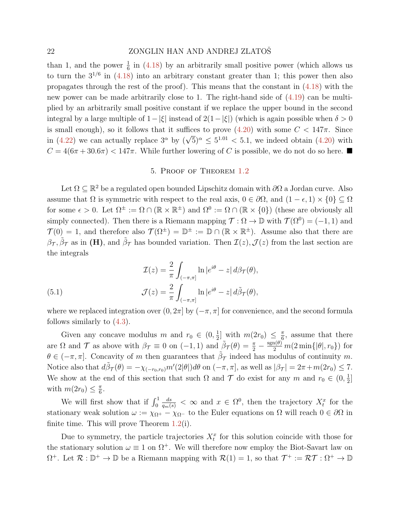than 1, and the power  $\frac{1}{6}$  in [\(4.18\)](#page-18-1) by an arbitrarily small positive power (which allows us to turn the  $3^{1/6}$  in  $(4.18)$  into an arbitrary constant greater than 1; this power then also propagates through the rest of the proof). This means that the constant in  $(4.18)$  with the new power can be made arbitrarily close to 1. The right-hand side of [\(4.19\)](#page-18-5) can be multiplied by an arbitrarily small positive constant if we replace the upper bound in the second integral by a large multiple of  $1-|\xi|$  instead of  $2(1-|\xi|)$  (which is again possible when  $\delta > 0$ is small enough), so it follows that it suffices to prove  $(4.20)$  with some  $C < 147\pi$ . Since is small enough), so it follows that it suffices to prove  $(4.20)$  with some  $0 \le 141$ . Since<br>in  $(4.22)$  we can actually replace  $3^{\alpha}$  by  $(\sqrt{5})^{\alpha} \le 5^{1.01} < 5.1$ , we indeed obtain  $(4.20)$  with  $C = 4(6\pi + 30.6\pi) < 147\pi$ . While further lowering of C is possible, we do not do so here.

## 5. Proof of Theorem [1.2](#page-7-0)

<span id="page-21-0"></span>Let  $\Omega \subseteq \mathbb{R}^2$  be a regulated open bounded Lipschitz domain with  $\partial\Omega$  a Jordan curve. Also assume that  $\Omega$  is symmetric with respect to the real axis,  $0 \in \partial\Omega$ , and  $(1 - \epsilon, 1) \times \{0\} \subset \Omega$ for some  $\epsilon > 0$ . Let  $\Omega^{\pm} := \Omega \cap (\mathbb{R} \times \mathbb{R}^{\pm})$  and  $\Omega^0 := \Omega \cap (\mathbb{R} \times \{0\})$  (these are obviously all simply connected). Then there is a Riemann mapping  $\mathcal{T} : \Omega \to \mathbb{D}$  with  $\mathcal{T}(\Omega^0) = (-1, 1)$  and  $\mathcal{T}(0) = 1$ , and therefore also  $\mathcal{T}(\Omega^{\pm}) = \mathbb{D}^{\pm} := \mathbb{D} \cap (\mathbb{R} \times \mathbb{R}^{\pm})$ . Assume also that there are  $\beta_{\mathcal{T}}, \tilde{\beta}_{\mathcal{T}}$  as in (H), and  $\tilde{\beta}_{\mathcal{T}}$  has bounded variation. Then  $\mathcal{I}(z)$ ,  $\mathcal{J}(z)$  from the last section are the integrals

<span id="page-21-1"></span>(5.1) 
$$
\mathcal{I}(z) = \frac{2}{\pi} \int_{(-\pi,\pi]} \ln |e^{i\theta} - z| d\beta \tau(\theta),
$$

$$
\mathcal{J}(z) = \frac{2}{\pi} \int_{(-\pi,\pi]} \ln |e^{i\theta} - z| d\tilde{\beta} \tau(\theta),
$$

where we replaced integration over  $(0, 2\pi]$  by  $(-\pi, \pi]$  for convenience, and the second formula follows similarly to [\(4.3\)](#page-13-0).

Given any concave modulus m and  $r_0 \in (0, \frac{1}{2})$  $\frac{1}{2}$  with  $m(2r_0) \leq \frac{\pi}{6}$  $\frac{\pi}{6}$ , assume that there are  $\Omega$  and  $\mathcal T$  as above with  $\beta_{\mathcal T} \equiv 0$  on  $(-1,1)$  and  $\tilde{\beta}_{\mathcal T}(\theta) = \frac{\pi}{2} - \frac{\text{sgn}(\theta)}{2} m(2 \min\{|\theta|, r_0\})$  for  $\theta \in (-\pi, \pi]$ . Concavity of m then guarantees that  $\tilde{\beta}_{\mathcal{T}}$  indeed has modulus of continuity m. Notice also that  $d\tilde{\beta}_{\mathcal{T}}(\theta) = -\chi_{(-r_0,r_0)}m'(2|\theta|)d\theta$  on  $(-\pi,\pi]$ , as well as  $|\beta_{\mathcal{T}}| = 2\pi + m(2r_0) \leq 7$ . We show at the end of this section that such  $\Omega$  and  $\mathcal T$  do exist for any  $m$  and  $r_0 \in (0, \frac{1}{2})$  $\frac{1}{2}$ ] with  $m(2r_0) \leq \frac{\pi}{6}$  $\frac{\pi}{6}$ .

We will first show that if  $\int_0^1$  $\frac{ds}{q_m(s)} < \infty$  and  $x \in \Omega^0$ , then the trajectory  $X_t^x$  for the stationary weak solution  $\omega := \chi_{\Omega^+} - \chi_{\Omega^-}$  to the Euler equations on  $\Omega$  will reach  $0 \in \partial \Omega$  in finite time. This will prove Theorem  $1.2(i)$  $1.2(i)$ .

Due to symmetry, the particle trajectories  $X_t^x$  for this solution coincide with those for the stationary solution  $\omega \equiv 1$  on  $\Omega^+$ . We will therefore now employ the Biot-Savart law on  $\Omega^+$ . Let  $\mathcal{R}: \mathbb{D}^+ \to \mathbb{D}$  be a Riemann mapping with  $\mathcal{R}(1) = 1$ , so that  $\mathcal{T}^+ := \mathcal{R}\mathcal{T} : \Omega^+ \to \mathbb{D}$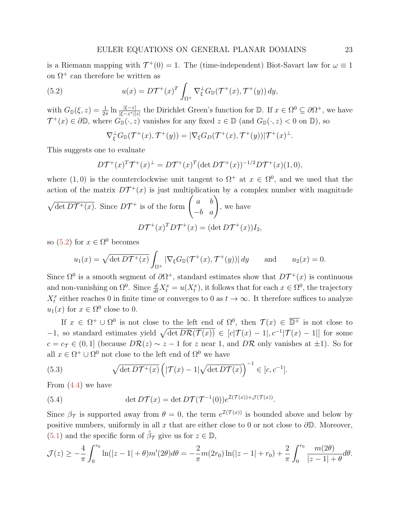is a Riemann mapping with  $\mathcal{T}^+(0) = 1$ . The (time-independent) Biot-Savart law for  $\omega \equiv 1$ on  $\Omega^+$  can therefore be written as

(5.2) 
$$
u(x) = D\mathcal{T}^+(x)^T \int_{\Omega^+} \nabla_{\xi}^{\perp} G_{\mathbb{D}}(\mathcal{T}^+(x), \mathcal{T}^+(y)) dy,
$$

with  $G_{\mathbb{D}}(\xi, z) = \frac{1}{2\pi} \ln \frac{|\xi - z|}{|\xi - z^*||z|}$  the Dirichlet Green's function for  $\mathbb{D}$ . If  $x \in \Omega^0 \subseteq \partial \Omega^+$ , we have  $\mathcal{T}^+(x) \in \partial \mathbb{D}$ , where  $G_{\mathbb{D}}(\cdot, z)$  vanishes for any fixed  $z \in \mathbb{D}$  (and  $G_{\mathbb{D}}(\cdot, z) < 0$  on  $\mathbb{D}$ ), so

<span id="page-22-0"></span>
$$
\nabla_{\xi}^{\perp}G_{\mathbb{D}}(\mathcal{T}^{+}(x),\mathcal{T}^{+}(y))=|\nabla_{\xi}G_{D}(\mathcal{T}^{+}(x),\mathcal{T}^{+}(y))|\mathcal{T}^{+}(x)^{\perp}.
$$

This suggests one to evaluate

$$
D\mathcal{T}^+(x)^T\mathcal{T}^+(x)^{\perp} = D\mathcal{T}^+(x)^T (\det D\mathcal{T}^+(x))^{-1/2} D\mathcal{T}^+(x)(1,0),
$$

where  $(1,0)$  is the counterclockwise unit tangent to  $\Omega^+$  at  $x \in \Omega^0$ , and we used that the action of the matrix  $DT^+(x)$  is just multiplication by a complex number with magnitude

$$
\sqrt{\det DT^+(x)}
$$
. Since  $D\mathcal{T}^+$  is of the form  $\begin{pmatrix} a & b \\ -b & a \end{pmatrix}$ , we have  

$$
D\mathcal{T}^+(x)^T D\mathcal{T}^+(x) = (\det D\mathcal{T}^+(x))I_2,
$$

so  $(5.2)$  for  $x \in \Omega^0$  becomes

$$
u_1(x) = \sqrt{\det D\mathcal{T}^+(x)} \int_{\Omega^+} |\nabla_{\xi} G_{\mathbb{D}}(\mathcal{T}^+(x), \mathcal{T}^+(y))| dy \quad \text{and} \quad u_2(x) = 0.
$$

Since  $\Omega^0$  is a smooth segment of  $\partial \Omega^+$ , standard estimates show that  $D\mathcal{T}^+(x)$  is continuous and non-vanishing on  $\Omega^0$ . Since  $\frac{d}{dt}X_t^x = u(X_t^x)$ , it follows that for each  $x \in \Omega^0$ , the trajectory  $X_t^x$  either reaches 0 in finite time or converges to 0 as  $t \to \infty$ . It therefore suffices to analyze  $u_1(x)$  for  $x \in \Omega^0$  close to 0.

If  $x \in \Omega^+ \cup \Omega^0$  is not close to the left end of  $\Omega^0$ , then  $\mathcal{T}(x) \in \overline{\mathbb{D}^+}$  is not close to  $-1$ , so standard estimates yield  $\sqrt{\det D\mathcal{R}(\mathcal{T}(x))} \in [c|\mathcal{T}(x)-1|, c^{-1}|\mathcal{T}(x)-1|]$  for some  $c = c_{\mathcal{T}} \in (0, 1]$  (because  $D\mathcal{R}(z) \sim z - 1$  for z near 1, and  $D\mathcal{R}$  only vanishes at  $\pm 1$ ). So for all  $x \in \Omega^+ \cup \Omega^0$  not close to the left end of  $\Omega^0$  we have

<span id="page-22-1"></span>(5.3) 
$$
\sqrt{\det D\mathcal{T}^+(x)} \left( |\mathcal{T}(x) - 1| \sqrt{\det D\mathcal{T}(x)} \right)^{-1} \in [c, c^{-1}].
$$

From [\(4.4\)](#page-13-4) we have

<span id="page-22-2"></span>(5.4) 
$$
\det DT(x) = \det DT(\mathcal{T}^{-1}(0))e^{\mathcal{I}(\mathcal{T}(x)) + \mathcal{J}(\mathcal{T}(x))}.
$$

Since  $\beta_{\mathcal{T}}$  is supported away from  $\theta = 0$ , the term  $e^{\mathcal{I}(\mathcal{T}(x))}$  is bounded above and below by positive numbers, uniformly in all  $x$  that are either close to 0 or not close to  $\partial \mathbb{D}$ . Moreover, [\(5.1\)](#page-21-1) and the specific form of  $\tilde{\beta}_{\mathcal{T}}$  give us for  $z \in \mathbb{D}$ ,

$$
\mathcal{J}(z) \geq -\frac{4}{\pi} \int_0^{r_0} \ln(|z - 1| + \theta) m'(2\theta) d\theta = -\frac{2}{\pi} m(2r_0) \ln(|z - 1| + r_0) + \frac{2}{\pi} \int_0^{r_0} \frac{m(2\theta)}{|z - 1| + \theta} d\theta.
$$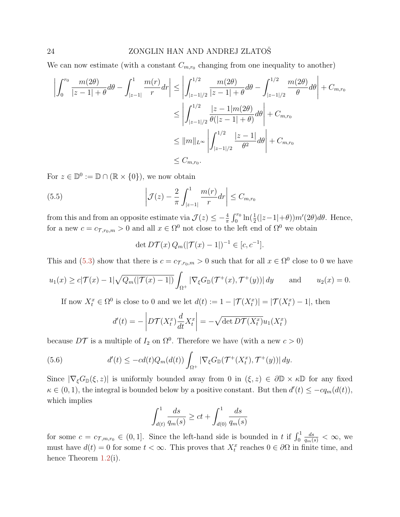We can now estimate (with a constant  $C_{m,r_0}$  changing from one inequality to another)

$$
\left| \int_{0}^{r_{0}} \frac{m(2\theta)}{|z-1| + \theta} d\theta - \int_{|z-1|}^{1} \frac{m(r)}{r} dr \right| \leq \left| \int_{|z-1|/2}^{1/2} \frac{m(2\theta)}{|z-1| + \theta} d\theta - \int_{|z-1|/2}^{1/2} \frac{m(2\theta)}{\theta} d\theta \right| + C_{m,r_{0}} \leq \left| \int_{|z-1|/2}^{1/2} \frac{|z-1|m(2\theta)}{\theta(|z-1| + \theta)} d\theta \right| + C_{m,r_{0}} \leq ||m||_{L^{\infty}} \left| \int_{|z-1|/2}^{1/2} \frac{|z-1|}{\theta^{2}} d\theta \right| + C_{m,r_{0}} \leq C_{m,r_{0}}.
$$

For  $z \in \mathbb{D}^0 := \mathbb{D} \cap (\mathbb{R} \times \{0\}),$  we now obtain

(5.5) 
$$
\left| \mathcal{J}(z) - \frac{2}{\pi} \int_{|z-1|}^{1} \frac{m(r)}{r} dr \right| \leq C_{m,r_0}
$$

from this and from an opposite estimate via  $\mathcal{J}(z) \leq -\frac{4}{\pi} \int_0^{r_0} \ln(\frac{1}{2}(|z-1|+\theta)) m'(2\theta) d\theta$ . Hence, for a new  $c = c_{\mathcal{T}, r_0, m} > 0$  and all  $x \in \Omega^0$  not close to the left end of  $\Omega^0$  we obtain

<span id="page-23-1"></span>
$$
\det D\mathcal{T}(x) Q_m(|\mathcal{T}(x) - 1|)^{-1} \in [c, c^{-1}].
$$

This and [\(5.3\)](#page-22-1) show that there is  $c = c_{\mathcal{T},r_0,m} > 0$  such that for all  $x \in \Omega^0$  close to 0 we have

$$
u_1(x) \ge c|\mathcal{T}(x) - 1|\sqrt{Q_m(|\mathcal{T}(x) - 1|)} \int_{\Omega^+} |\nabla_{\xi} G_{\mathbb{D}}(\mathcal{T}^+(x), \mathcal{T}^+(y))| dy \quad \text{and} \quad u_2(x) = 0.
$$

If now  $X_t^x \in \Omega^0$  is close to 0 and we let  $d(t) := 1 - |\mathcal{T}(X_t^x)| = |\mathcal{T}(X_t^x) - 1|$ , then

<span id="page-23-0"></span>
$$
d'(t) = -\left| D\mathcal{T}(X_t^x) \frac{d}{dt} X_t^x \right| = -\sqrt{\det D\mathcal{T}(X_t^x)} u_1(X_t^x)
$$

because  $D\mathcal{T}$  is a multiple of  $I_2$  on  $\Omega^0$ . Therefore we have (with a new  $c > 0$ )

(5.6) 
$$
d'(t) \leq -cd(t)Q_m(d(t))\int_{\Omega^+} |\nabla_{\xi}G_{\mathbb{D}}(\mathcal{T}^+(X_t^x), \mathcal{T}^+(y))| dy.
$$

Since  $|\nabla_{\xi}G_{\mathbb{D}}(\xi, z)|$  is uniformly bounded away from 0 in  $(\xi, z) \in \partial \mathbb{D} \times \kappa \mathbb{D}$  for any fixed  $\kappa \in (0, 1)$ , the integral is bounded below by a positive constant. But then  $d'(t) \leq -c q_m(d(t)),$ which implies

$$
\int_{d(t)}^{1} \frac{ds}{q_m(s)} \ge ct + \int_{d(0)}^{1} \frac{ds}{q_m(s)}
$$

for some  $c = c_{\mathcal{T},m,r_0} \in (0,1]$ . Since the left-hand side is bounded in t if  $\int_0^1$  $\frac{ds}{q_m(s)} < \infty$ , we must have  $d(t) = 0$  for some  $t < \infty$ . This proves that  $X_t^x$  reaches  $0 \in \partial\Omega$  in finite time, and hence Theorem [1.2\(](#page-7-0)i).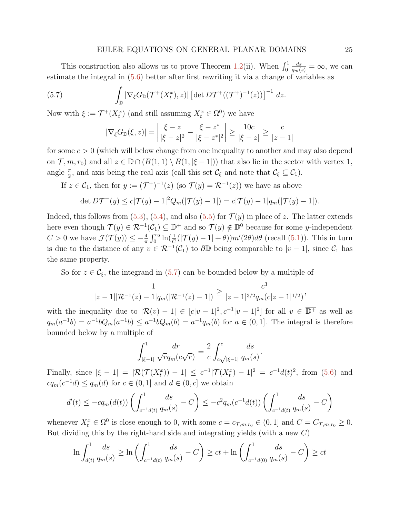#### EULER EQUATIONS ON GENERAL PLANAR DOMAINS 25

This construction also allows us to prove Theorem [1.2\(](#page-7-0)ii). When  $\int_0^1$  $\frac{ds}{q_m(s)} = \infty$ , we can estimate the integral in [\(5.6\)](#page-23-0) better after first rewriting it via a change of variables as

(5.7) 
$$
\int_{\mathbb{D}} |\nabla_{\xi} G_{\mathbb{D}}(\mathcal{T}^{+}(X_t^x), z)| \left[ \det D\mathcal{T}^{+}((\mathcal{T}^{+})^{-1}(z)) \right]^{-1} dz.
$$

Now with  $\xi := \mathcal{T}^+(X_t^x)$  (and still assuming  $X_t^x \in \Omega^0$ ) we have

<span id="page-24-0"></span>
$$
|\nabla_{\xi}G_{\mathbb{D}}(\xi, z)| = \left| \frac{\xi - z}{|\xi - z|^2} - \frac{\xi - z^*}{|\xi - z^*|^2} \right| \ge \frac{10c}{|\xi - z|} \ge \frac{c}{|z - 1|}
$$

for some  $c > 0$  (which will below change from one inequality to another and may also depend on  $\mathcal{T}, m, r_0$  and all  $z \in \mathbb{D} \cap (B(1, 1) \setminus B(1, |\xi - 1|))$  that also lie in the sector with vertex 1, angle  $\frac{\pi}{2}$ , and axis being the real axis (call this set  $\mathcal{C}_{\xi}$  and note that  $\mathcal{C}_{\xi} \subseteq \mathcal{C}_1$ ).

If 
$$
z \in C_1
$$
, then for  $y := (\mathcal{T}^+)^{-1}(z)$  (so  $\mathcal{T}(y) = \mathcal{R}^{-1}(z)$ ) we have as above

$$
\det D\mathcal{T}^+(y) \le c|\mathcal{T}(y) - 1|^2 Q_m(|\mathcal{T}(y) - 1|) = c|\mathcal{T}(y) - 1|q_m(|\mathcal{T}(y) - 1|).
$$

Indeed, this follows from [\(5.3\)](#page-22-1), [\(5.4\)](#page-22-2), and also [\(5.5\)](#page-23-1) for  $\mathcal{T}(y)$  in place of z. The latter extends here even though  $\mathcal{T}(y) \in \mathcal{R}^{-1}(\mathcal{C}_1) \subseteq \mathbb{D}^+$  and so  $\mathcal{T}(y) \notin \mathbb{D}^0$  because for some *y*-independent C > 0 we have  $\mathcal{J}(\mathcal{T}(y)) \leq -\frac{4}{\pi} \int_0^{r_0} \ln(\frac{1}{C}(|\mathcal{T}(y) - 1| + \theta)) m'(2\theta) d\theta$  (recall [\(5.1\)](#page-21-1)). This in turn is due to the distance of any  $v \in \mathcal{R}^{-1}(\mathcal{C}_1)$  to  $\partial \mathbb{D}$  being comparable to  $|v-1|$ , since  $\mathcal{C}_1$  has the same property.

So for  $z \in \mathcal{C}_{\xi}$ , the integrand in [\(5.7\)](#page-24-0) can be bounded below by a multiple of

$$
\frac{1}{|z-1||\mathcal{R}^{-1}(z)-1|q_m(|\mathcal{R}^{-1}(z)-1|)} \ge \frac{c^3}{|z-1|^{3/2}q_m(c|z-1|^{1/2})},
$$

with the inequality due to  $|\mathcal{R}(v) - 1| \in [c|v - 1|^2, c^{-1}|v - 1|^2]$  for all  $v \in \overline{\mathbb{D}^+}$  as well as  $q_m(a^{-1}b) = a^{-1}bQ_m(a^{-1}b) \le a^{-1}bQ_m(b) = a^{-1}q_m(b)$  for  $a \in (0,1]$ . The integral is therefore bounded below by a multiple of

$$
\int_{|\xi-1|}^1 \frac{dr}{\sqrt{r}q_m(c\sqrt{r})} = \frac{2}{c} \int_{c\sqrt{|\xi-1|}}^c \frac{ds}{q_m(s)}.
$$

Finally, since  $|\xi - 1| = |\mathcal{R}(\mathcal{T}(X_t^x)) - 1| \leq c^{-1} |\mathcal{T}(X_t^x) - 1|^2 = c^{-1} d(t)^2$ , from [\(5.6\)](#page-23-0) and  $cq_m(c^{-1}d) \le q_m(d)$  for  $c \in (0,1]$  and  $d \in (0,c]$  we obtain

$$
d'(t) \le -cq_m(d(t)) \left( \int_{c^{-1}d(t)}^1 \frac{ds}{q_m(s)} - C \right) \le -c^2 q_m(c^{-1}d(t)) \left( \int_{c^{-1}d(t)}^1 \frac{ds}{q_m(s)} - C \right)
$$

whenever  $X_t^x \in \Omega^0$  is close enough to 0, with some  $c = c_{\tau,m,r_0} \in (0,1]$  and  $C = C_{\tau,m,r_0} \geq 0$ . But dividing this by the right-hand side and integrating yields (with a new  $C$ )

$$
\ln \int_{d(t)}^1 \frac{ds}{q_m(s)} \ge \ln \left( \int_{c^{-1}d(t)}^1 \frac{ds}{q_m(s)} - C \right) \ge ct + \ln \left( \int_{c^{-1}d(0)}^1 \frac{ds}{q_m(s)} - C \right) \ge ct
$$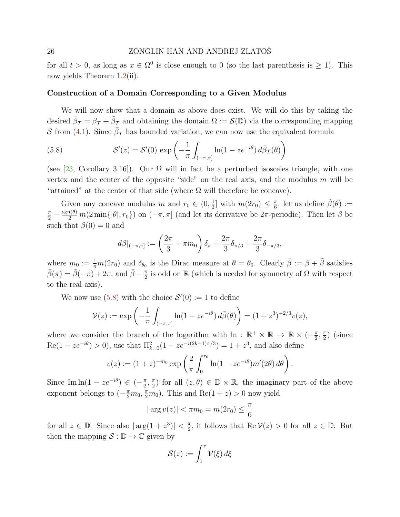<span id="page-25-1"></span>for all  $t > 0$ , as long as  $x \in \Omega^0$  is close enough to 0 (so the last parenthesis is  $\geq 1$ ). This now yields Theorem [1.2\(](#page-7-0)ii).

## Construction of a Domain Corresponding to a Given Modulus

We will now show that a domain as above does exist. We will do this by taking the desired  $\bar{\beta}_{\mathcal{T}} = \beta_{\mathcal{T}} + \tilde{\beta}_{\mathcal{T}}$  and obtaining the domain  $\Omega := \mathcal{S}(\mathbb{D})$  via the corresponding mapping S from [\(4.1\)](#page-12-1). Since  $\bar{\beta}_{\mathcal{T}}$  has bounded variation, we can now use the equivalent formula

<span id="page-25-0"></span>(5.8) 
$$
\mathcal{S}'(z) = \mathcal{S}'(0) \exp\left(-\frac{1}{\pi} \int_{(-\pi,\pi]} \ln(1 - ze^{-i\theta}) d\bar{\beta}\tau(\theta)\right)
$$

(see [\[23,](#page-29-17) Corollary 3.16]). Our  $\Omega$  will in fact be a perturbed isosceles triangle, with one vertex and the center of the opposite "side" on the real axis, and the modulus  $m$  will be "attained" at the center of that side (where  $\Omega$  will therefore be concave).

Given any concave modulus m and  $r_0 \in (0, \frac{1}{2})$  $\frac{1}{2}$  with  $m(2r_0) \leq \frac{\pi}{6}$  $\frac{\pi}{6}$ , let us define  $\tilde{\beta}(\theta) :=$  $\frac{\pi}{2} - \frac{\text{sgn}(\theta)}{2} m(2 \min\{|\theta|, r_0\})$  on  $(-\pi, \pi]$  (and let its derivative be  $2\pi$ -periodic). Then let  $\beta$  be such that  $\beta(0) = 0$  and

$$
d\beta|_{(-\pi,\pi]} := \left(\frac{2\pi}{3} + \pi m_0\right)\delta_{\pi} + \frac{2\pi}{3}\delta_{\pi/3} + \frac{2\pi}{3}\delta_{-\pi/3},
$$

where  $m_0 := \frac{1}{\pi} m(2r_0)$  and  $\delta_{\theta_0}$  is the Dirac measure at  $\theta = \theta_0$ . Clearly  $\bar{\beta} := \beta + \tilde{\beta}$  satisfies  $\bar{\beta}(\pi) = \bar{\beta}(-\pi) + 2\pi$ , and  $\bar{\beta} - \frac{\pi}{2}$  $\frac{\pi}{2}$  is odd on  $\mathbb R$  (which is needed for symmetry of  $\Omega$  with respect to the real axis).

We now use  $(5.8)$  with the choice  $\mathcal{S}'(0) := 1$  to define

$$
\mathcal{V}(z) := \exp\left(-\frac{1}{\pi} \int_{(-\pi,\pi]} \ln(1 - ze^{-i\theta}) \, d\bar{\beta}(\theta)\right) = (1+z^3)^{-2/3} v(z),
$$

where we consider the branch of the logarithm with  $\ln : \mathbb{R}^+ \times \mathbb{R} \to \mathbb{R} \times (-\frac{\pi}{2})$  $\frac{\pi}{2}, \frac{\pi}{2}$  $\frac{\pi}{2}$ ) (since  $\text{Re}(1 - ze^{-i\theta}) > 0$ , use that  $\Pi_{k=0}^{2}(1 - ze^{-i(2k-1)\pi/3}) = 1 + z^3$ , and also define

$$
v(z) := (1+z)^{-m_0} \exp\left(\frac{2}{\pi} \int_0^{r_0} \ln(1 - ze^{-i\theta}) m'(2\theta) d\theta\right).
$$

Since Im  $\ln(1 - ze^{-i\theta}) \in (-\frac{\pi}{2})$  $\frac{\pi}{2}$ ,  $\frac{\pi}{2}$  $(\frac{\pi}{2})$  for all  $(z, \theta) \in \mathbb{D} \times \mathbb{R}$ , the imaginary part of the above exponent belongs to  $\left(-\frac{\pi}{2}m_0, \frac{\pi}{2}m_0\right)$ . This and Re(1 + z) > 0 now yield

$$
|\arg v(z)| < \pi m_0 = m(2r_0) \le \frac{\pi}{6}
$$

for all  $z \in \mathbb{D}$ . Since also  $|\arg(1+z^3)| < \frac{\pi}{2}$  $\frac{\pi}{2}$ , it follows that Re  $V(z) > 0$  for all  $z \in \mathbb{D}$ . But then the mapping  $S : \mathbb{D} \to \mathbb{C}$  given by

$$
\mathcal{S}(z) := \int_1^z \mathcal{V}(\xi) \, d\xi
$$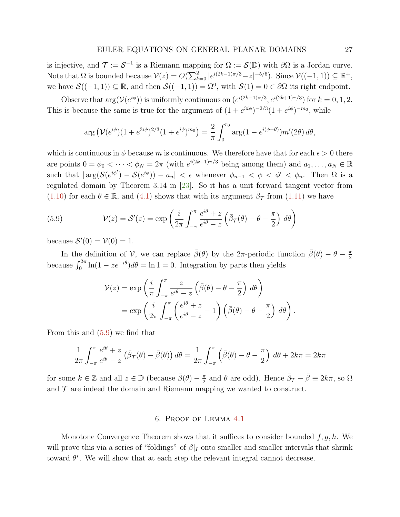<span id="page-26-2"></span>is injective, and  $\mathcal{T} := \mathcal{S}^{-1}$  is a Riemann mapping for  $\Omega := \mathcal{S}(\mathbb{D})$  with  $\partial\Omega$  is a Jordan curve. Note that  $\Omega$  is bounded because  $\mathcal{V}(z) = O(\sum_{k=0}^{2} |e^{i(2k-1)\pi/3} - z|^{-5/6})$ . Since  $\mathcal{V}((-1, 1)) \subseteq \mathbb{R}^+$ , we have  $\mathcal{S}((-1, 1)) \subseteq \mathbb{R}$ , and then  $\mathcal{S}((-1, 1)) = \Omega^0$ , with  $\mathcal{S}(1) = 0 \in \partial\Omega$  its right endpoint.

Observe that  $\arg(V(e^{i\phi}))$  is uniformly continuous on  $(e^{i(2k-1)\pi/3}, e^{i(2k+1)\pi/3})$  for  $k = 0, 1, 2$ . This is because the same is true for the argument of  $(1 + e^{3i\phi})^{-2/3}(1 + e^{i\phi})^{-m_0}$ , while

$$
\arg \left( \mathcal{V}(e^{i\phi})(1+e^{3i\phi})^{2/3}(1+e^{i\phi})^{m_0} \right) = \frac{2}{\pi} \int_0^{r_0} \arg(1-e^{i(\phi-\theta)}) m'(2\theta) d\theta,
$$

which is continuous in  $\phi$  because m is continuous. We therefore have that for each  $\epsilon > 0$  there are points  $0 = \phi_0 < \cdots < \phi_N = 2\pi$  (with  $e^{i(2k-1)\pi/3}$  being among them) and  $a_1, \ldots, a_N \in \mathbb{R}$ such that  $|\arg(\mathcal{S}(e^{i\phi'}) - \mathcal{S}(e^{i\phi})) - a_n| < \epsilon$  whenever  $\phi_{n-1} < \phi < \phi' < \phi_n$ . Then  $\Omega$  is a regulated domain by Theorem 3.14 in [\[23\]](#page-29-17). So it has a unit forward tangent vector from [\(1.10\)](#page-5-0) for each  $\theta \in \mathbb{R}$ , and [\(4.1\)](#page-12-1) shows that with its argument  $\bar{\beta}_{\mathcal{T}}$  from [\(1.11\)](#page-5-1) we have

<span id="page-26-1"></span>(5.9) 
$$
\mathcal{V}(z) = \mathcal{S}'(z) = \exp\left(\frac{i}{2\pi} \int_{-\pi}^{\pi} \frac{e^{i\theta} + z}{e^{i\theta} - z} \left(\bar{\beta}\tau(\theta) - \theta - \frac{\pi}{2}\right) d\theta\right)
$$

because  $\mathcal{S}'(0) = \mathcal{V}(0) = 1$ .

In the definition of V, we can replace  $\bar{\beta}(\theta)$  by the 2 $\pi$ -periodic function  $\bar{\beta}(\theta) - \theta - \frac{\pi}{2}$ 2 because  $\int_0^{2\pi} \ln(1 - ze^{-i\theta}) d\theta = \ln 1 = 0$ . Integration by parts then yields

$$
\mathcal{V}(z) = \exp\left(\frac{i}{\pi} \int_{-\pi}^{\pi} \frac{z}{e^{i\theta} - z} \left(\bar{\beta}(\theta) - \theta - \frac{\pi}{2}\right) d\theta\right)
$$
  
= 
$$
\exp\left(\frac{i}{2\pi} \int_{-\pi}^{\pi} \left(\frac{e^{i\theta} + z}{e^{i\theta} - z} - 1\right) \left(\bar{\beta}(\theta) - \theta - \frac{\pi}{2}\right) d\theta\right).
$$

From this and [\(5.9\)](#page-26-1) we find that

$$
\frac{1}{2\pi} \int_{-\pi}^{\pi} \frac{e^{i\theta} + z}{e^{i\theta} - z} \left( \bar{\beta}\tau(\theta) - \bar{\beta}(\theta) \right) d\theta = \frac{1}{2\pi} \int_{-\pi}^{\pi} \left( \bar{\beta}(\theta) - \theta - \frac{\pi}{2} \right) d\theta + 2k\pi = 2k\pi
$$

for some  $k \in \mathbb{Z}$  and all  $z \in \mathbb{D}$  (because  $\bar{\beta}(\theta) - \frac{\pi}{2}$  $\frac{\pi}{2}$  and  $\theta$  are odd). Hence  $\bar{\beta}_{\mathcal{T}} - \bar{\beta} \equiv 2k\pi$ , so  $\Omega$ and  $\mathcal T$  are indeed the domain and Riemann mapping we wanted to construct.

#### 6. Proof of Lemma [4.1](#page-13-3)

<span id="page-26-0"></span>Monotone Convergence Theorem shows that it suffices to consider bounded  $f, g, h$ . We will prove this via a series of "foldings" of  $\beta|_I$  onto smaller and smaller intervals that shrink toward  $\theta^*$ . We will show that at each step the relevant integral cannot decrease.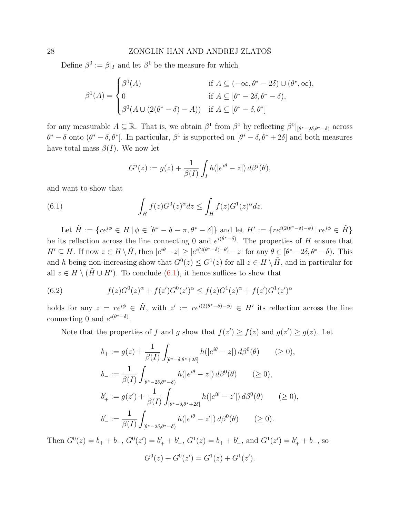Define  $\beta^0 := \beta|_I$  and let  $\beta^1$  be the measure for which

$$
\beta^1(A) = \begin{cases}\n\beta^0(A) & \text{if } A \subseteq (-\infty, \theta^* - 2\delta) \cup (\theta^*, \infty), \\
0 & \text{if } A \subseteq [\theta^* - 2\delta, \theta^* - \delta), \\
\beta^0(A \cup (2(\theta^* - \delta) - A)) & \text{if } A \subseteq [\theta^* - \delta, \theta^*]\n\end{cases}
$$

for any measurable  $A \subseteq \mathbb{R}$ . That is, we obtain  $\beta^1$  from  $\beta^0$  by reflecting  $\beta^0|_{[\theta^*-2\delta,\theta^*-\delta]}$  across  $\theta^* - \delta$  onto  $(\theta^* - \delta, \theta^*]$ . In particular,  $\beta^1$  is supported on  $[\theta^* - \delta, \theta^* + 2\delta]$  and both measures have total mass  $\beta(I)$ . We now let

<span id="page-27-0"></span>
$$
G^{j}(z) := g(z) + \frac{1}{\beta(I)} \int_{I} h(|e^{i\theta} - z|) d\beta^{j}(\theta),
$$

and want to show that

(6.1) 
$$
\int_H f(z)G^0(z)^\alpha dz \leq \int_H f(z)G^1(z)^\alpha dz.
$$

Let  $\tilde{H} := \{ re^{i\phi} \in H \mid \phi \in [\theta^* - \delta - \pi, \theta^* - \delta] \}$  and let  $H' := \{ re^{i(2(\theta^* - \delta) - \phi)} \mid re^{i\phi} \in \tilde{H} \}$ be its reflection across the line connecting 0 and  $e^{i(\theta^*-\delta)}$ . The properties of H ensure that  $H' \subseteq H$ . If now  $z \in H \setminus \tilde{H}$ , then  $|e^{i\theta} - z| \ge |e^{i(2(\theta^* - \delta) - \theta)} - z|$  for any  $\theta \in [\theta^* - 2\delta, \theta^* - \delta)$ . This and h being non-increasing show that  $G^0(z) \leq G^1(z)$  for all  $z \in H \setminus \tilde{H}$ , and in particular for all  $z \in H \setminus (\tilde{H} \cup H')$ . To conclude [\(6.1\)](#page-27-0), it hence suffices to show that

<span id="page-27-1"></span>(6.2) 
$$
f(z)G^{0}(z)^{\alpha} + f(z')G^{0}(z')^{\alpha} \le f(z)G^{1}(z)^{\alpha} + f(z')G^{1}(z')^{\alpha}
$$

holds for any  $z = re^{i\phi} \in \tilde{H}$ , with  $z' := re^{i(2(\theta^*-\delta)-\phi)} \in H'$  its reflection across the line connecting 0 and  $e^{i(\theta^*-\delta)}$ .

Note that the properties of f and g show that  $f(z') \ge f(z)$  and  $g(z') \ge g(z)$ . Let

$$
b_{+} := g(z) + \frac{1}{\beta(I)} \int_{[\theta^{*} - \delta, \theta^{*} + 2\delta]} h(|e^{i\theta} - z|) d\beta^{0}(\theta) \quad (\ge 0),
$$
  
\n
$$
b_{-} := \frac{1}{\beta(I)} \int_{[\theta^{*} - 2\delta, \theta^{*} - \delta]} h(|e^{i\theta} - z|) d\beta^{0}(\theta) \quad (\ge 0),
$$
  
\n
$$
b'_{+} := g(z') + \frac{1}{\beta(I)} \int_{[\theta^{*} - \delta, \theta^{*} + 2\delta]} h(|e^{i\theta} - z'|) d\beta^{0}(\theta) \quad (\ge 0),
$$
  
\n
$$
b'_{-} := \frac{1}{\beta(I)} \int_{[\theta^{*} - 2\delta, \theta^{*} - \delta]} h(|e^{i\theta} - z'|) d\beta^{0}(\theta) \quad (\ge 0).
$$

Then  $G^0(z) = b_+ + b_-$ ,  $G^0(z') = b'_+ + b'_-, G^1(z) = b_+ + b'_-,$  and  $G^1(z') = b'_+ + b_-,$  so  $G^{0}(z) + G^{0}(z') = G^{1}(z) + G^{1}(z').$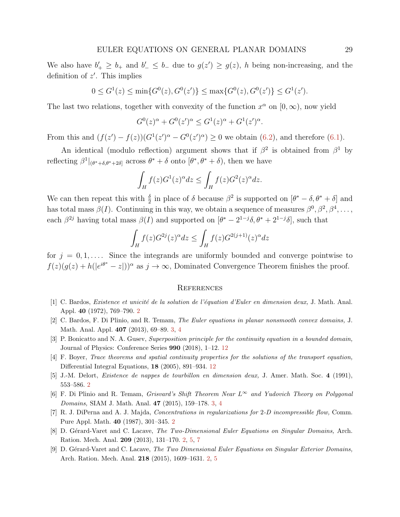We also have  $b'_+ \geq b_+$  and  $b'_- \leq b_-$  due to  $g(z') \geq g(z)$ , h being non-increasing, and the definition of  $z'$ . This implies

$$
0 \le G^1(z) \le \min\{G^0(z), G^0(z')\} \le \max\{G^0(z), G^0(z')\} \le G^1(z').
$$

The last two relations, together with convexity of the function  $x^{\alpha}$  on  $[0, \infty)$ , now yield

$$
G^{0}(z)^{\alpha} + G^{0}(z')^{\alpha} \le G^{1}(z)^{\alpha} + G^{1}(z')^{\alpha}.
$$

From this and  $(f(z') - f(z))(G^{1}(z')^{\alpha} - G^{0}(z')^{\alpha}) \geq 0$  we obtain [\(6.2\)](#page-27-1), and therefore [\(6.1\)](#page-27-0).

An identical (modulo reflection) argument shows that if  $\beta^2$  is obtained from  $\beta^1$  by reflecting  $\beta^1|_{(\theta^*+\delta,\theta^*+2\delta]}$  across  $\theta^*+\delta$  onto  $[\theta^*,\theta^*+\delta]$ , then we have

$$
\int_H f(z)G^1(z)^{\alpha} dz \le \int_H f(z)G^2(z)^{\alpha} dz.
$$

We can then repeat this with  $\frac{\delta}{2}$  in place of  $\delta$  because  $\beta^2$  is supported on  $[\theta^* - \delta, \theta^* + \delta]$  and has total mass  $\beta(I)$ . Continuing in this way, we obtain a sequence of measures  $\beta^0, \beta^2, \beta^4, \ldots$ , each  $\beta^{2j}$  having total mass  $\beta(I)$  and supported on  $[\theta^* - 2^{1-j}\delta, \theta^* + 2^{1-j}\delta]$ , such that

$$
\int_H f(z)G^{2j}(z)^{\alpha}dz \le \int_H f(z)G^{2(j+1)}(z)^{\alpha}dz
$$

for  $j = 0, 1, \ldots$ . Since the integrands are uniformly bounded and converge pointwise to  $f(z)(g(z) + h(|e^{i\theta^*} - z|))^{\alpha}$  as  $j \to \infty$ , Dominated Convergence Theorem finishes the proof.

#### **REFERENCES**

- <span id="page-28-0"></span>[1] C. Bardos, Existence et unicité de la solution de l'équation d'Euler en dimension deux, J. Math. Anal. Appl. 40 (1972), 769–790. [2](#page-1-2)
- <span id="page-28-5"></span>[2] C. Bardos, F. Di Plinio, and R. Temam, The Euler equations in planar nonsmooth convex domains, J. Math. Anal. Appl. 407 (2013), 69–89. [3,](#page-2-1) [4](#page-3-0)
- <span id="page-28-7"></span>[3] P. Bonicatto and N. A. Gusev, Superposition principle for the continuity equation in a bounded domain, Journal of Physics: Conference Series 990 (2018), 1–12. [12](#page-11-1)
- <span id="page-28-8"></span>[4] F. Boyer, Trace theorems and spatial continuity properties for the solutions of the transport equation, Differential Integral Equations, 18 (2005), 891–934. [12](#page-11-1)
- <span id="page-28-2"></span>[5] J.-M. Delort, Existence de nappes de tourbillon en dimension deux, J. Amer. Math. Soc. 4 (1991), 553–586. [2](#page-1-2)
- <span id="page-28-6"></span>[6] F. Di Plinio and R. Temam, Grisvard's Shift Theorem Near  $L^{\infty}$  and Yudovich Theory on Polygonal Domains, SIAM J. Math. Anal. 47 (2015), 159–178. [3,](#page-2-1) [4](#page-3-0)
- <span id="page-28-1"></span>[7] R. J. DiPerna and A. J. Majda, Concentrations in regularizations for 2-D incompressible flow, Comm. Pure Appl. Math. 40 (1987), 301–345. [2](#page-1-2)
- <span id="page-28-3"></span>[8] D. Gérard-Varet and C. Lacave, The Two-Dimensional Euler Equations on Singular Domains, Arch. Ration. Mech. Anal. 209 (2013), 131–170. [2,](#page-1-2) [5,](#page-4-3) [7](#page-6-2)
- <span id="page-28-4"></span>[9] D. Gérard-Varet and C. Lacave, The Two Dimensional Euler Equations on Singular Exterior Domains, Arch. Ration. Mech. Anal. 218 (2015), 1609–1631. [2,](#page-1-2) [5](#page-4-3)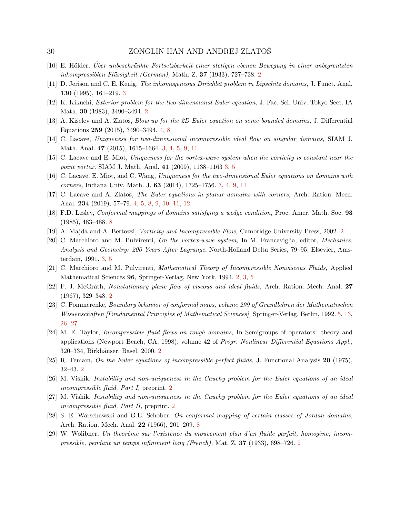- <span id="page-29-1"></span>[10] E. H¨older, Uber unbeschr¨ankte Fortsetzbarkeit einer stetigen ebenen Bewegung in einer unbegrentzten ¨ inkompressiblen Flüssigkeit (German), Math. Z. 37 (1933), 7[2](#page-1-2)7–738.  $2$
- <span id="page-29-10"></span>[11] D. Jerison and C. E. Kenig, The inhomogeneous Dirichlet problem in Lipschitz domains, J. Funct. Anal. 130 (1995), 161–219. [3](#page-2-1)
- <span id="page-29-2"></span>[12] K. Kikuchi, Exterior problem for the two-dimensional Euler equation, J. Fac. Sci. Univ. Tokyo Sect. IA Math. 30 (1983), 3490–3494. [2](#page-1-2)
- <span id="page-29-16"></span>[13] A. Kiselev and A. Zlatoš, *Blow up for the 2D Euler equation on some bounded domains*, J. Differential Equations 259 (2015), 3490–3494. [4,](#page-3-0) [8](#page-7-2)
- <span id="page-29-14"></span>[14] C. Lacave, Uniqueness for two-dimensional incompressible ideal flow on singular domains, SIAM J. Math. Anal. 47 (2015), 1615–1664. [3,](#page-2-1) [4,](#page-3-0) [5,](#page-4-3) [9,](#page-8-3) [11](#page-10-4)
- <span id="page-29-12"></span>[15] C. Lacave and E. Miot, Uniqueness for the vortex-wave system when the vorticity is constant near the point vortex, SIAM J. Math. Anal. 41 (2009), 1138–1163 [3,](#page-2-1) [5](#page-4-3)
- <span id="page-29-11"></span>[16] C. Lacave, E. Miot, and C. Wang, Uniqueness for the two-dimensional Euler equations on domains with corners, Indiana Univ. Math. J. 63 (2014), 1725–1756. [3,](#page-2-1) [4,](#page-3-0) [9,](#page-8-3) [11](#page-10-4)
- <span id="page-29-15"></span>[17] C. Lacave and A. Zlatoš, The Euler equations in planar domains with corners, Arch. Ration. Mech. Anal. 234 (2019), 57–79. [4,](#page-3-0) [5,](#page-4-3) [8,](#page-7-2) [9,](#page-8-3) [10,](#page-9-2) [11,](#page-10-4) [12](#page-11-1)
- <span id="page-29-18"></span>[18] F.D. Lesley, Conformal mappings of domains satisfying a wedge condition, Proc. Amer. Math. Soc. 93 (1985), 483–488. [8](#page-7-2)
- <span id="page-29-4"></span>[19] A. Majda and A. Bertozzi, Vorticity and Incompressible Flow, Cambridge University Press, 2002. [2](#page-1-2)
- <span id="page-29-13"></span>[20] C. Marchioro and M. Pulvirenti, On the vortex-wave system, In M. Francaviglia, editor, Mechanics, Analysis and Geometry: 200 Years After Lagrange, North-Holland Delta Series, 79–95, Elsevier, Amsterdam, 1991. [3,](#page-2-1) [5](#page-4-3)
- <span id="page-29-5"></span>[21] C. Marchioro and M. Pulvirenti, Mathematical Theory of Incompressible Nonviscous Fluids, Applied Mathematical Sciences 96, Springer-Verlag, New York, 1994. [2,](#page-1-2) [3,](#page-2-1) [5](#page-4-3)
- <span id="page-29-3"></span>[22] F. J. McGrath, Nonstationary plane flow of viscous and ideal fluids, Arch. Ration. Mech. Anal. 27 (1967), 329–348. [2](#page-1-2)
- <span id="page-29-17"></span>[23] C. Pommerenke, Boundary behavior of conformal maps, volume 299 of Grundlehren der Mathematischen Wissenschaften [Fundamental Principles of Mathematical Sciences], Springer-Verlag, Berlin, 1992. [5,](#page-4-3) [13,](#page-12-3) [26,](#page-25-1) [27](#page-26-2)
- <span id="page-29-9"></span>[24] M. E. Taylor, Incompressible fluid flows on rough domains, In Semigroups of operators: theory and applications (Newport Beach, CA, 1998), volume 42 of Progr. Nonlinear Differential Equations Appl., 3[2](#page-1-2)0–334, Birkhäuser, Basel, 2000. 2
- <span id="page-29-6"></span>[25] R. Temam, On the Euler equations of incompressible perfect fluids, J. Functional Analysis 20 (1975), 32–43. [2](#page-1-2)
- <span id="page-29-7"></span>[26] M. Vishik, Instability and non-uniqueness in the Cauchy problem for the Euler equations of an ideal incompressible fluid. Part I, preprint. [2](#page-1-2)
- <span id="page-29-8"></span>[27] M. Vishik, Instability and non-uniqueness in the Cauchy problem for the Euler equations of an ideal incompressible fluid. Part II, preprint. [2](#page-1-2)
- <span id="page-29-19"></span>[28] S. E. Warschawski and G.E. Schober, On conformal mapping of certain classes of Jordan domains, Arch. Ration. Mech. Anal. 22 (1966), 201–209. [8](#page-7-2)
- <span id="page-29-0"></span>[29] W. Wolibner, Un theorème sur l'existence du mouvement plan d'un fluide parfait, homogène, incompressible, pendant un temps infiniment long (French), Mat. Z. 37 (1933), 698–726. [2](#page-1-2)